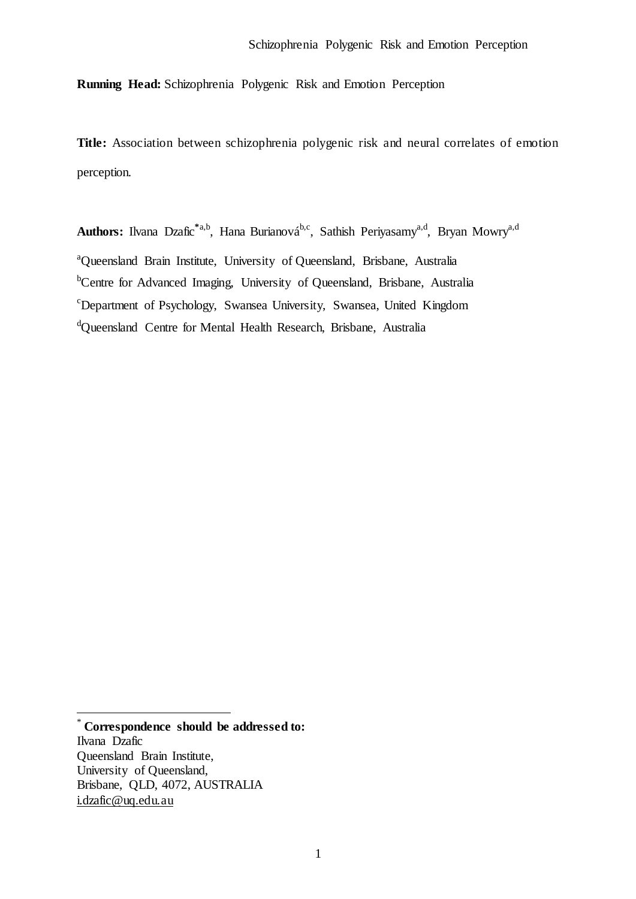**Running Head:** Schizophrenia Polygenic Risk and Emotion Perception

**Title:** Association between schizophrenia polygenic risk and neural correlates of emotion perception.

Authors: Ilvana Dzafic<sup>\*a,b</sup>, Hana Burianová<sup>b,c</sup>, Sathish Periyasamy<sup>a,d</sup>, Bryan Mowry<sup>a,d</sup> <sup>a</sup>Queensland Brain Institute, University of Queensland, Brisbane, Australia <sup>b</sup>Centre for Advanced Imaging, University of Queensland, Brisbane, Australia <sup>c</sup>Department of Psychology, Swansea University, Swansea, United Kingdom <sup>d</sup>Queensland Centre for Mental Health Research, Brisbane, Australia

\* **Correspondence should be addressed to:** Ilvana Dzafic Queensland Brain Institute, University of Queensland, Brisbane, QLD, 4072, AUSTRALIA [i.dzafic@uq.edu.au](mailto:i.dzafic@uq.edu.au)

 $\overline{a}$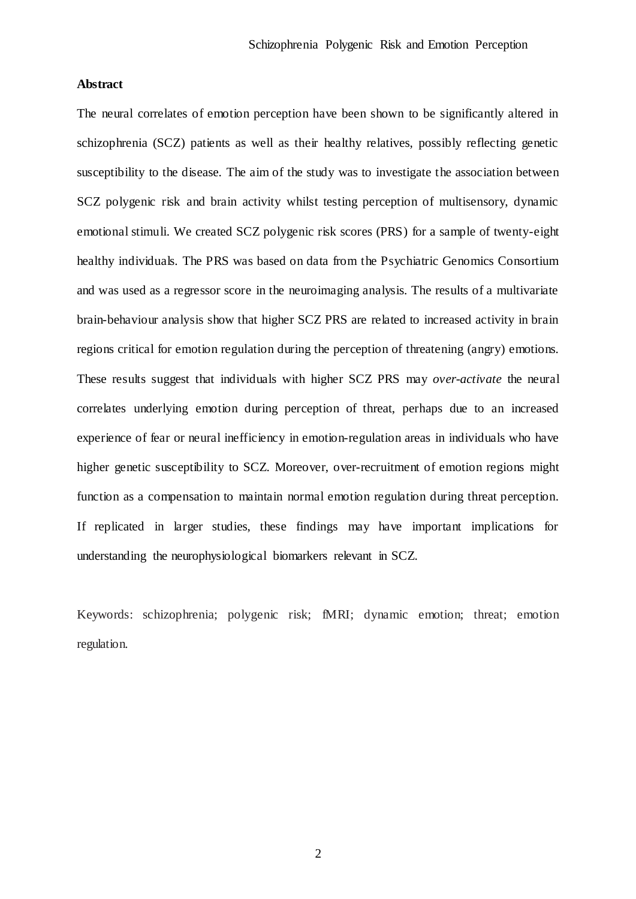## **Abstract**

The neural correlates of emotion perception have been shown to be significantly altered in schizophrenia (SCZ) patients as well as their healthy relatives, possibly reflecting genetic susceptibility to the disease. The aim of the study was to investigate the association between SCZ polygenic risk and brain activity whilst testing perception of multisensory, dynamic emotional stimuli. We created SCZ polygenic risk scores (PRS) for a sample of twenty-eight healthy individuals. The PRS was based on data from the Psychiatric Genomics Consortium and was used as a regressor score in the neuroimaging analysis. The results of a multivariate brain-behaviour analysis show that higher SCZ PRS are related to increased activity in brain regions critical for emotion regulation during the perception of threatening (angry) emotions. These results suggest that individuals with higher SCZ PRS may *over-activate* the neural correlates underlying emotion during perception of threat, perhaps due to an increased experience of fear or neural inefficiency in emotion-regulation areas in individuals who have higher genetic susceptibility to SCZ. Moreover, over-recruitment of emotion regions might function as a compensation to maintain normal emotion regulation during threat perception. If replicated in larger studies, these findings may have important implications for understanding the neurophysiological biomarkers relevant in SCZ.

Keywords: schizophrenia; polygenic risk; fMRI; dynamic emotion; threat; emotion regulation.

2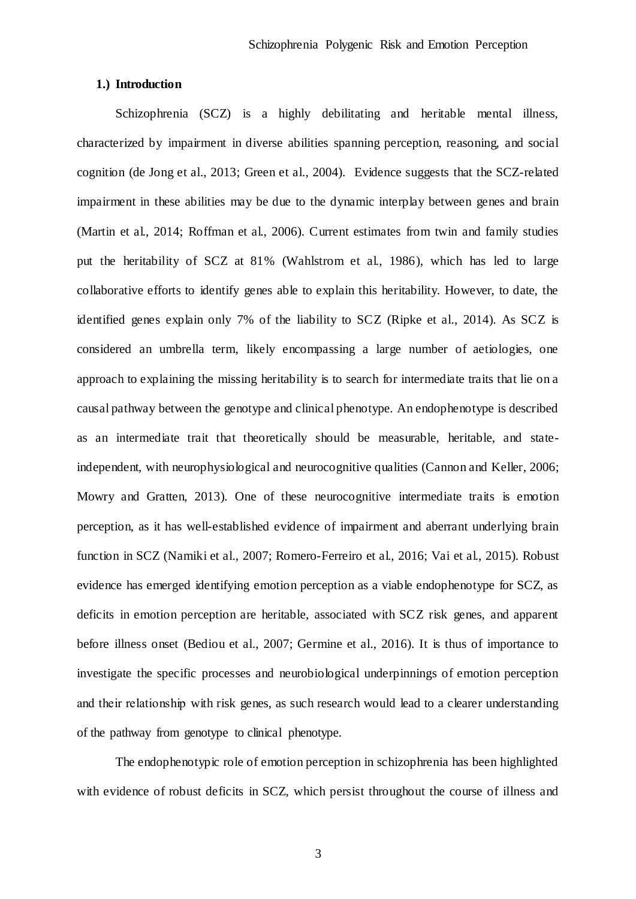## **1.) Introduction**

Schizophrenia (SCZ) is a highly debilitating and heritable mental illness, characterized by impairment in diverse abilities spanning perception, reasoning, and social cognition [\(de Jong et al., 2013;](#page-20-0) [Green et al., 2004\)](#page-21-0). Evidence suggests that the SCZ-related impairment in these abilities may be due to the dynamic interplay between genes and brain [\(Martin et al., 2014;](#page-22-0) [Roffman et al., 2006\)](#page-26-0). Current estimates from twin and family studies put the heritability of SCZ at 81% [\(Wahlstrom et al., 1986\)](#page-27-0), which has led to large collaborative efforts to identify genes able to explain this heritability. However, to date, the identified genes explain only 7% of the liability to SCZ [\(Ripke et al., 2014\)](#page-24-0). As SCZ is considered an umbrella term, likely encompassing a large number of aetiologies, one approach to explaining the missing heritability is to search for intermediate traits that lie on a causal pathway between the genotype and clinical phenotype. An endophenotype is described as an intermediate trait that theoretically should be measurable, heritable, and stateindependent, with neurophysiological and neurocognitive qualities [\(Cannon and Keller, 2006;](#page-19-0) [Mowry and Gratten, 2013\)](#page-23-0). One of these neurocognitive intermediate traits is emotion perception, as it has well-established evidence of impairment and aberrant underlying brain function in SCZ [\(Namiki et al., 2007;](#page-23-1) [Romero-Ferreiro et al., 2016;](#page-26-1) [Vai et al., 2015\)](#page-27-1). Robust evidence has emerged identifying emotion perception as a viable endophenotype for SCZ, as deficits in emotion perception are heritable, associated with SCZ risk genes, and apparent before illness onset [\(Bediou et al., 2007;](#page-19-1) [Germine et al., 2016\)](#page-20-1). It is thus of importance to investigate the specific processes and neurobiological underpinnings of emotion perception and their relationship with risk genes, as such research would lead to a clearer understanding of the pathway from genotype to clinical phenotype.

The endophenotypic role of emotion perception in schizophrenia has been highlighted with evidence of robust deficits in SCZ, which persist throughout the course of illness and

3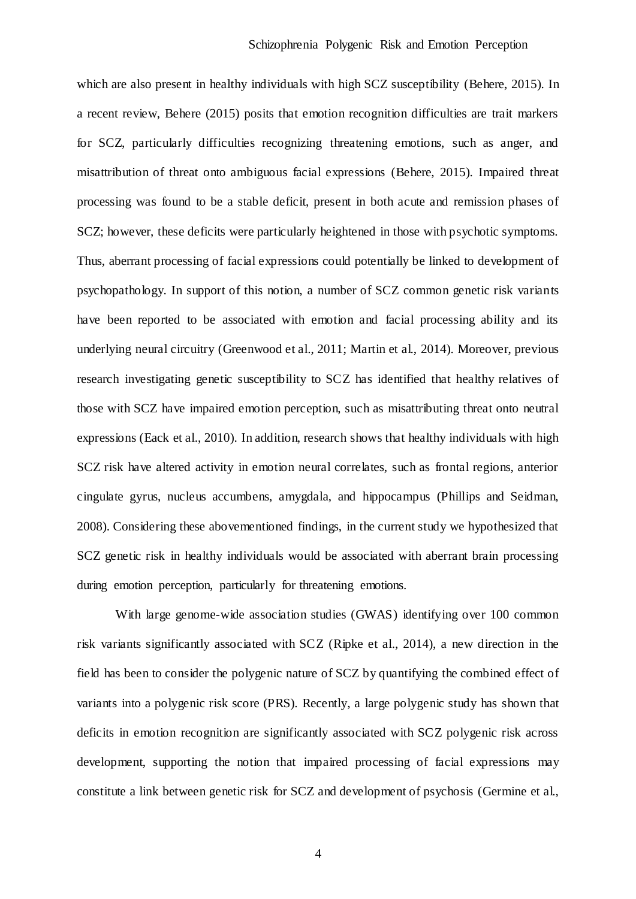which are also present in healthy individuals with high SCZ susceptibility [\(Behere, 2015\)](#page-19-2). In a recent review, Behere (2015) posits that emotion recognition difficulties are trait markers for SCZ, particularly difficulties recognizing threatening emotions, such as anger, and misattribution of threat onto ambiguous facial expressions [\(Behere, 2015\)](#page-19-2). Impaired threat processing was found to be a stable deficit, present in both acute and remission phases of SCZ; however, these deficits were particularly heightened in those with psychotic symptoms. Thus, aberrant processing of facial expressions could potentially be linked to development of psychopathology. In support of this notion, a number of SCZ common genetic risk variants have been reported to be associated with emotion and facial processing ability and its underlying neural circuitry [\(Greenwood et al., 2011;](#page-21-1) Martin [et al., 2014\)](#page-22-0). Moreover, previous research investigating genetic susceptibility to SCZ has identified that healthy relatives of those with SCZ have impaired emotion perception, such as misattributing threat onto neutral expressions [\(Eack et al., 2010\)](#page-20-2). In addition, research shows that healthy individuals with high SCZ risk have altered activity in emotion neural correlates, such as frontal regions, anterior cingulate gyrus, nucleus accumbens, amygdala, and hippocampus [\(Phillips and Seidman,](#page-24-1)  [2008\)](#page-24-1). Considering these abovementioned findings, in the current study we hypothesized that SCZ genetic risk in healthy individuals would be associated with aberrant brain processing during emotion perception, particularly for threatening emotions.

With large genome-wide association studies (GWAS) identifying over 100 common risk variants significantly associated with SCZ [\(Ripke et al., 2014\)](#page-24-0), a new direction in the field has been to consider the polygenic nature of SCZ by quantifying the combined effect of variants into a polygenic risk score (PRS). Recently, a large polygenic study has shown that deficits in emotion recognition are significantly associated with SCZ polygenic risk across development, supporting the notion that impaired processing of facial expressions may constitute a link between genetic risk for SCZ and development of psychosis [\(Germine et al.,](#page-20-1)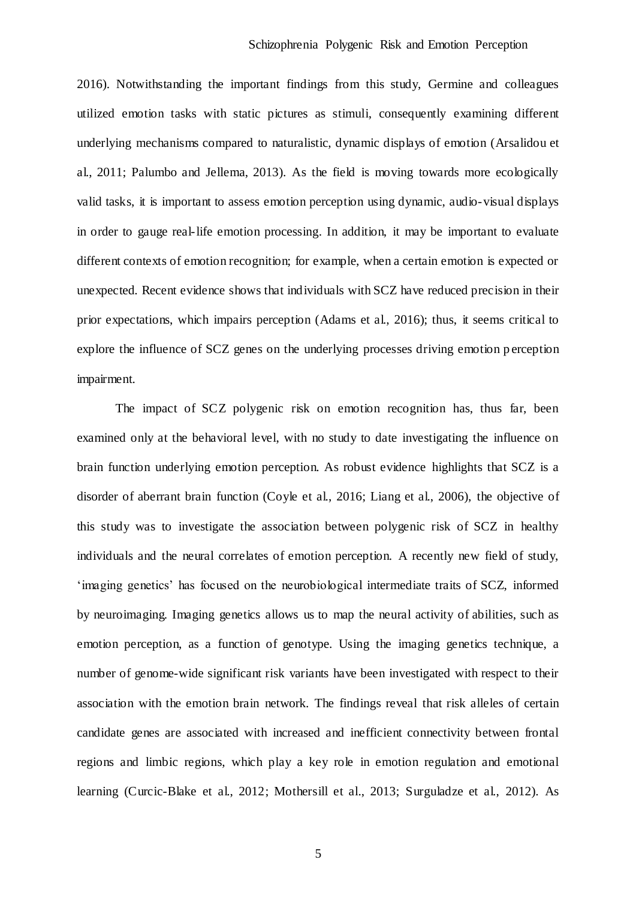## Schizophrenia Polygenic Risk and Emotion Perception

[2016\)](#page-20-1). Notwithstanding the important findings from this study, Germine and colleagues utilized emotion tasks with static pictures as stimuli, consequently examining different underlying mechanisms compared to naturalistic, dynamic displays of emotion [\(Arsalidou et](#page-19-3)  [al., 2011;](#page-19-3) [Palumbo and Jellema, 2013\)](#page-23-2). As the field is moving towards more ecologically valid tasks, it is important to assess emotion perception using dynamic, audio-visual displays in order to gauge real-life emotion processing. In addition, it may be important to evaluate different contexts of emotion recognition; for example, when a certain emotion is expected or unexpected. Recent evidence shows that individuals with SCZ have reduced precision in their prior expectations, which impairs perception [\(Adams et al., 2016\)](#page-19-4); thus, it seems critical to explore the influence of SCZ genes on the underlying processes driving emotion perception impairment.

The impact of SCZ polygenic risk on emotion recognition has, thus far, been examined only at the behavioral level, with no study to date investigating the influence on brain function underlying emotion perception. As robust evidence highlights that SCZ is a disorder of aberrant brain function [\(Coyle et al., 2016;](#page-19-5) [Liang et al., 2006\)](#page-22-1), the objective of this study was to investigate the association between polygenic risk of SCZ in healthy individuals and the neural correlates of emotion perception. A recently new field of study, 'imaging genetics' has focused on the neurobiological intermediate traits of SCZ, informed by neuroimaging. Imaging genetics allows us to map the neural activity of abilities, such as emotion perception, as a function of genotype. Using the imaging genetics technique, a number of genome-wide significant risk variants have been investigated with respect to their association with the emotion brain network. The findings reveal that risk alleles of certain candidate genes are associated with increased and inefficient connectivity between frontal regions and limbic regions, which play a key role in emotion regulation and emotional learning [\(Curcic-Blake et al., 2012;](#page-20-3) [Mothersill et al., 2013;](#page-23-3) [Surguladze et al., 2012\)](#page-26-2). As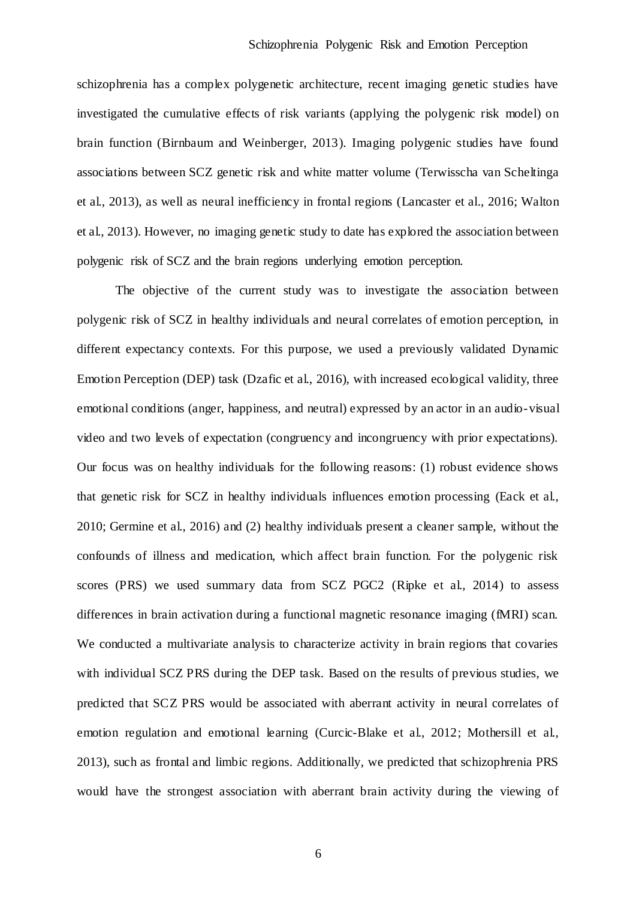schizophrenia has a complex polygenetic architecture, recent imaging genetic studies have investigated the cumulative effects of risk variants (applying the polygenic risk model) on brain function [\(Birnbaum and Weinberger, 2013\)](#page-19-6). Imaging polygenic studies have found associations between SCZ genetic risk and white matter volume [\(Terwisscha van Scheltinga](#page-27-2)  [et al., 2013\)](#page-27-2), as well as neural inefficiency in frontal regions [\(Lancaster et al., 2016;](#page-22-2) [Walton](#page-27-3)  [et al., 2013\)](#page-27-3). However, no imaging genetic study to date has explored the association between polygenic risk of SCZ and the brain regions underlying emotion perception.

The objective of the current study was to investigate the association between polygenic risk of SCZ in healthy individuals and neural correlates of emotion perception, in different expectancy contexts. For this purpose, we used a previously validated Dynamic Emotion Perception (DEP) task [\(Dzafic et al., 2016\)](#page-20-4), with increased ecological validity, three emotional conditions (anger, happiness, and neutral) expressed by an actor in an audio-visual video and two levels of expectation (congruency and incongruency with prior expectations). Our focus was on healthy individuals for the following reasons: (1) robust evidence shows that genetic risk for SCZ in healthy individuals influences emotion processing [\(Eack et al.,](#page-20-2)  [2010;](#page-20-2) [Germine et al., 2016\)](#page-20-1) and (2) healthy individuals present a cleaner sample, without the confounds of illness and medication, which affect brain function. For the polygenic risk scores (PRS) we used summary data from SCZ PGC2 [\(Ripke et al., 2014\)](#page-24-0) to assess differences in brain activation during a functional magnetic resonance imaging (fMRI) scan. We conducted a multivariate analysis to characterize activity in brain regions that covaries with individual SCZ PRS during the DEP task. Based on the results of previous studies, we predicted that SCZ PRS would be associated with aberrant activity in neural correlates of emotion regulation and emotional learning [\(Curcic-Blake et al., 2012;](#page-20-3) [Mothersill et al.,](#page-23-3)  [2013\)](#page-23-3), such as frontal and limbic regions. Additionally, we predicted that schizophrenia PRS would have the strongest association with aberrant brain activity during the viewing of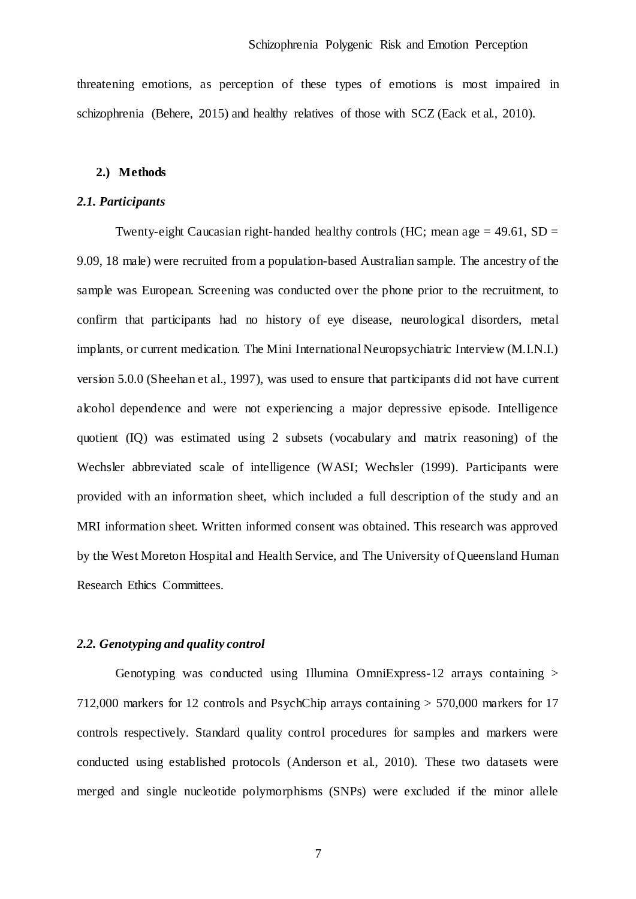threatening emotions, as perception of these types of emotions is most impaired in schizophrenia [\(Behere, 2015\)](#page-19-2) and healthy relatives of those with SCZ [\(Eack et al., 2010\)](#page-20-2).

# **2.) Methods**

#### *2.1. Participants*

Twenty-eight Caucasian right-handed healthy controls (HC; mean age  $= 49.61$ , SD  $=$ 9.09, 18 male) were recruited from a population-based Australian sample. The ancestry of the sample was European. Screening was conducted over the phone prior to the recruitment, to confirm that participants had no history of eye disease, neurological disorders, metal implants, or current medication. The Mini International Neuropsychiatric Interview (M.I.N.I.) version 5.0.0 (Sheehan et al., 1997), was used to ensure that participants did not have current alcohol dependence and were not experiencing a major depressive episode. Intelligence quotient (IQ) was estimated using 2 subsets (vocabulary and matrix reasoning) of the Wechsler abbreviated scale of intelligence (WASI; Wechsler (1999). Participants were provided with an information sheet, which included a full description of the study and an MRI information sheet. Written informed consent was obtained. This research was approved by the West Moreton Hospital and Health Service, and The University of Queensland Human Research Ethics Committees.

#### *2.2. Genotyping and quality control*

Genotyping was conducted using Illumina OmniExpress-12 arrays containing > 712,000 markers for 12 controls and PsychChip arrays containing > 570,000 markers for 17 controls respectively. Standard quality control procedures for samples and markers were conducted using established protocols [\(Anderson et al., 2010\)](#page-19-7). These two datasets were merged and single nucleotide polymorphisms (SNPs) were excluded if the minor allele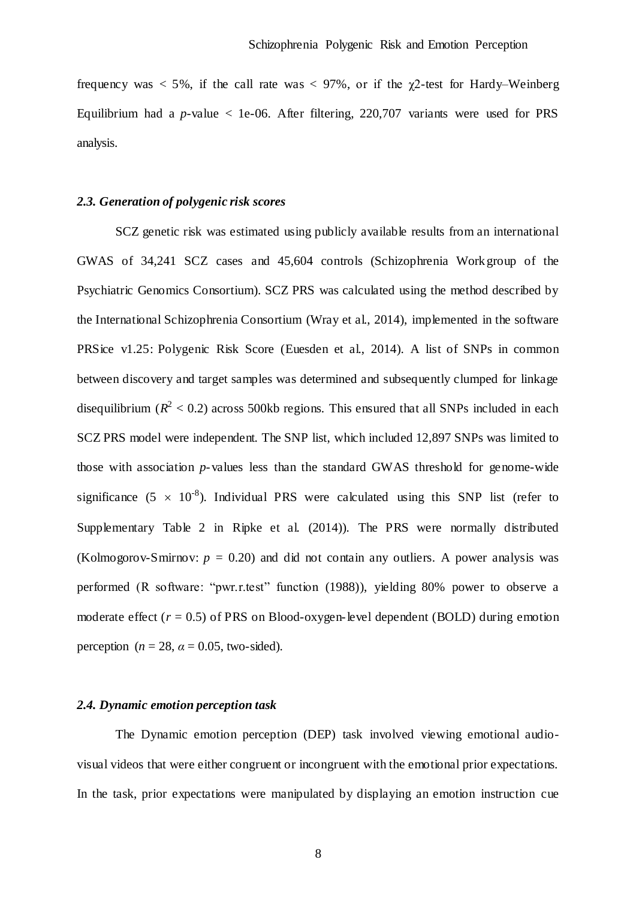frequency was  $\langle 5\%,$  if the call rate was  $\langle 97\%,$  or if the  $\chi$ 2-test for Hardy–Weinberg Equilibrium had a *p*-value  $\langle$  1e-06. After filtering, 220,707 variants were used for PRS analysis.

## *2.3. Generation of polygenic risk scores*

SCZ genetic risk was estimated using publicly available results from an international GWAS of 34,241 SCZ cases and 45,604 controls (Schizophrenia Workgroup of the Psychiatric Genomics Consortium). SCZ PRS was calculated using the method described by the International Schizophrenia Consortium [\(Wray et al., 2014\)](#page-28-0), implemented in the software PRSice v1.25: Polygenic Risk Score [\(Euesden et al., 2014\)](#page-20-5). A list of SNPs in common between discovery and target samples was determined and subsequently clumped for linkage disequilibrium  $(R^2 < 0.2)$  across 500kb regions. This ensured that all SNPs included in each SCZ PRS model were independent. The SNP list, which included 12,897 SNPs was limited to those with association *p*-values less than the standard GWAS threshold for genome-wide significance  $(5 \times 10^{-8})$ . Individual PRS were calculated using this SNP list (refer to Supplementary Table 2 in [Ripke et al. \(2014\)\)](#page-24-0). The PRS were normally distributed (Kolmogorov-Smirnov:  $p = 0.20$ ) and did not contain any outliers. A power analysis was performed (R software: "pwr.r.test" function (1988)), yielding 80% power to observe a moderate effect  $(r = 0.5)$  of PRS on Blood-oxygen-level dependent (BOLD) during emotion perception ( $n = 28$ ,  $\alpha = 0.05$ , two-sided).

## *2.4. Dynamic emotion perception task*

The Dynamic emotion perception (DEP) task involved viewing emotional audiovisual videos that were either congruent or incongruent with the emotional prior expectations. In the task, prior expectations were manipulated by displaying an emotion instruction cue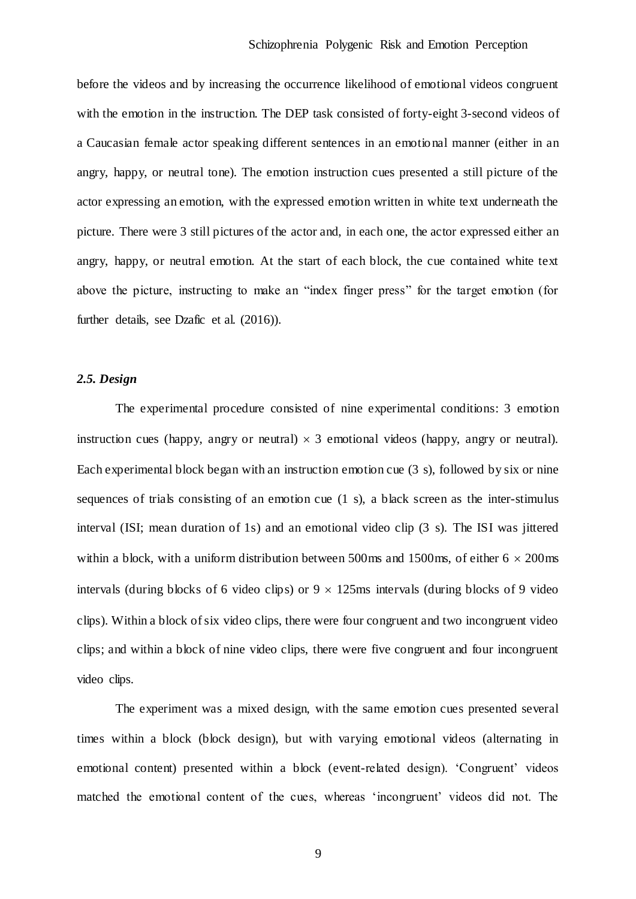before the videos and by increasing the occurrence likelihood of emotional videos congruent with the emotion in the instruction. The DEP task consisted of forty-eight 3-second videos of a Caucasian female actor speaking different sentences in an emotional manner (either in an angry, happy, or neutral tone). The emotion instruction cues presented a still picture of the actor expressing an emotion, with the expressed emotion written in white text underneath the picture. There were 3 still pictures of the actor and, in each one, the actor expressed either an angry, happy, or neutral emotion. At the start of each block, the cue contained white text above the picture, instructing to make an "index finger press" for the target emotion (for further details, see [Dzafic et al. \(2016\)\)](#page-20-4).

## *2.5. Design*

The experimental procedure consisted of nine experimental conditions: 3 emotion instruction cues (happy, angry or neutral)  $\times$  3 emotional videos (happy, angry or neutral). Each experimental block began with an instruction emotion cue (3 s), followed by six or nine sequences of trials consisting of an emotion cue (1 s), a black screen as the inter-stimulus interval (ISI; mean duration of 1s) and an emotional video clip (3 s). The ISI was jittered within a block, with a uniform distribution between 500ms and 1500ms, of either  $6 \times 200$ ms intervals (during blocks of 6 video clips) or  $9 \times 125$ ms intervals (during blocks of 9 video clips). Within a block of six video clips, there were four congruent and two incongruent video clips; and within a block of nine video clips, there were five congruent and four incongruent video clips.

The experiment was a mixed design, with the same emotion cues presented several times within a block (block design), but with varying emotional videos (alternating in emotional content) presented within a block (event-related design). 'Congruent' videos matched the emotional content of the cues, whereas 'incongruent' videos did not. The

9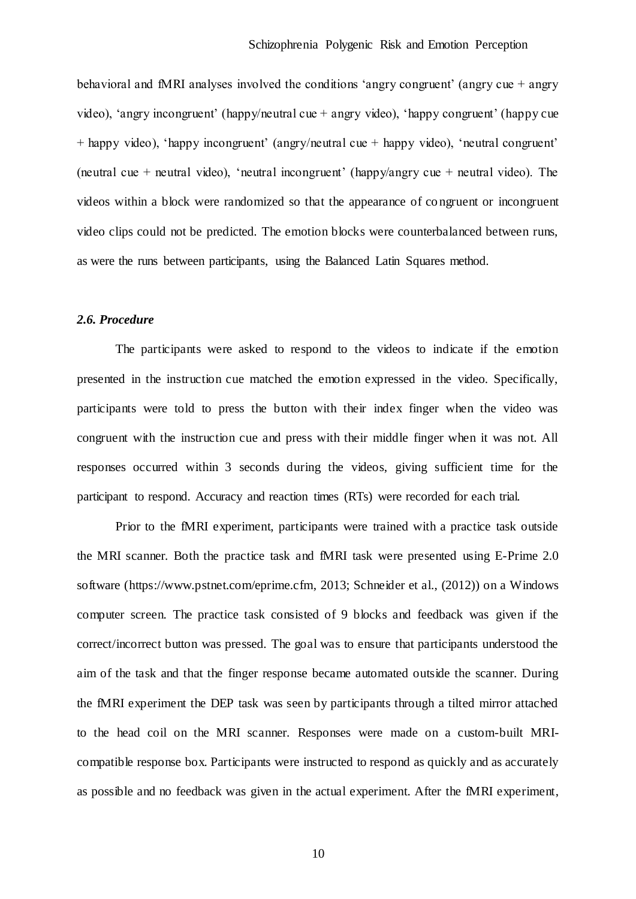behavioral and fMRI analyses involved the conditions 'angry congruent' (angry cue + angry video), 'angry incongruent' (happy/neutral cue + angry video), 'happy congruent' (happy cue + happy video), 'happy incongruent' (angry/neutral cue + happy video), 'neutral congruent' (neutral cue + neutral video), 'neutral incongruent' (happy/angry cue + neutral video). The videos within a block were randomized so that the appearance of co ngruent or incongruent video clips could not be predicted. The emotion blocks were counterbalanced between runs, as were the runs between participants, using the Balanced Latin Squares method.

## *2.6. Procedure*

The participants were asked to respond to the videos to indicate if the emotion presented in the instruction cue matched the emotion expressed in the video. Specifically, participants were told to press the button with their index finger when the video was congruent with the instruction cue and press with their middle finger when it was not. All responses occurred within 3 seconds during the videos, giving sufficient time for the participant to respond. Accuracy and reaction times (RTs) were recorded for each trial.

Prior to the fMRI experiment, participants were trained with a practice task outside the MRI scanner. Both the practice task and fMRI task were presented using E-Prime 2.0 software [\(https://www.pstnet.com/eprime.cfm,](https://www.pstnet.com/eprime.cfm) 2013; Schneider et al., (2012)) on a Windows computer screen. The practice task consisted of 9 blocks and feedback was given if the correct/incorrect button was pressed. The goal was to ensure that participants understood the aim of the task and that the finger response became automated outside the scanner. During the fMRI experiment the DEP task was seen by participants through a tilted mirror attached to the head coil on the MRI scanner. Responses were made on a custom-built MRIcompatible response box. Participants were instructed to respond as quickly and as accurately as possible and no feedback was given in the actual experiment. After the fMRI experiment,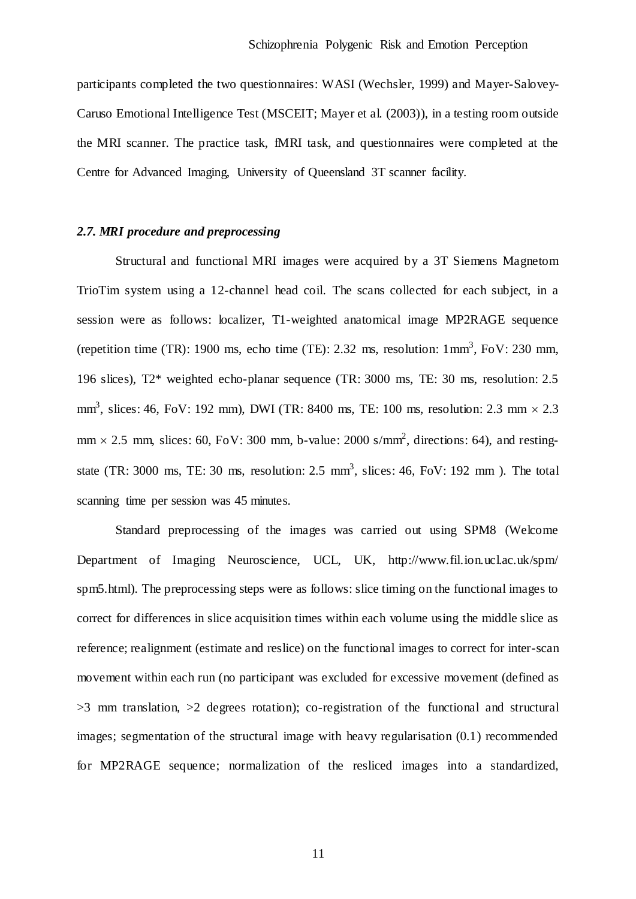participants completed the two questionnaires: WASI (Wechsler, 1999) and Mayer-Salovey-Caruso Emotional Intelligence Test (MSCEIT; [Mayer et al. \(2003\)\)](#page-22-3), in a testing room outside the MRI scanner. The practice task, fMRI task, and questionnaires were completed at the Centre for Advanced Imaging, University of Queensland 3T scanner facility.

## *2.7. MRI procedure and preprocessing*

Structural and functional MRI images were acquired by a 3T Siemens Magnetom TrioTim system using a 12-channel head coil. The scans collected for each subject, in a session were as follows: localizer, T1-weighted anatomical image MP2RAGE sequence (repetition time (TR): 1900 ms, echo time (TE): 2.32 ms, resolution:  $1mm<sup>3</sup>$ , FoV: 230 mm, 196 slices), T2\* weighted echo-planar sequence (TR: 3000 ms, TE: 30 ms, resolution: 2.5 mm<sup>3</sup>, slices: 46, FoV: 192 mm), DWI (TR: 8400 ms, TE: 100 ms, resolution: 2.3 mm  $\times$  2.3  $mm \times 2.5$  mm, slices: 60, FoV: 300 mm, b-value: 2000 s/mm<sup>2</sup>, directions: 64), and restingstate (TR: 3000 ms, TE: 30 ms, resolution: 2.5 mm<sup>3</sup>, slices: 46, FoV: 192 mm). The total scanning time per session was 45 minutes.

Standard preprocessing of the images was carried out using SPM8 (Welcome Department of Imaging Neuroscience, UCL, UK, http://www.fil.ion.uclac.uk/spm/ spm5.html). The preprocessing steps were as follows: slice timing on the functional images to correct for differences in slice acquisition times within each volume using the middle slice as reference; realignment (estimate and reslice) on the functional images to correct for inter-scan movement within each run (no participant was excluded for excessive movement (defined as  $>3$  mm translation,  $>2$  degrees rotation); co-registration of the functional and structural images; segmentation of the structural image with heavy regularisation (0.1) recommended for MP2RAGE sequence; normalization of the resliced images into a standardized,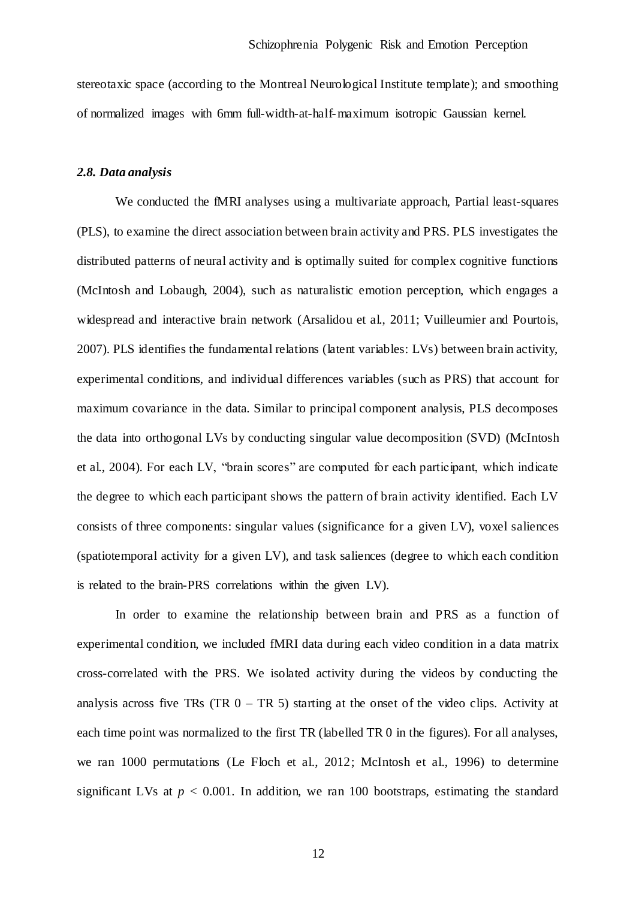stereotaxic space (according to the Montreal Neurological Institute template); and smoothing of normalized images with 6mm full-width-at-half-maximum isotropic Gaussian kernel.

# *2.8. Data analysis*

We conducted the fMRI analyses using a multivariate approach, Partial least-squares (PLS), to examine the direct association between brain activity and PRS. PLS investigates the distributed patterns of neural activity and is optimally suited for complex cognitive functions [\(McIntosh and Lobaugh, 2004\)](#page-22-4), such as naturalistic emotion perception, which engages a widespread and interactive brain network [\(Arsalidou et al., 2011;](#page-19-3) [Vuilleumier and Pourtois,](#page-27-4)  [2007\)](#page-27-4). PLS identifies the fundamental relations (latent variables: LVs) between brain activity, experimental conditions, and individual differences variables (such as PRS) that account for maximum covariance in the data. Similar to principal component analysis, PLS decomposes the data into orthogonal LVs by conducting singular value decomposition (SVD) [\(McIntosh](#page-22-5)  [et al., 2004\)](#page-22-5). For each LV, "brain scores" are computed for each participant, which indicate the degree to which each participant shows the pattern of brain activity identified. Each LV consists of three components: singular values (significance for a given LV), voxel saliences (spatiotemporal activity for a given LV), and task saliences (degree to which each condition is related to the brain-PRS correlations within the given LV).

In order to examine the relationship between brain and PRS as a function of experimental condition, we included fMRI data during each video condition in a data matrix cross-correlated with the PRS. We isolated activity during the videos by conducting the analysis across five TRs  $(TR 0 - TR 5)$  starting at the onset of the video clips. Activity at each time point was normalized to the first TR (labelled TR 0 in the figures). For all analyses, we ran 1000 permutations [\(Le Floch et al., 2012;](#page-22-6) [McIntosh et al., 1996\)](#page-22-7) to determine significant LVs at  $p < 0.001$ . In addition, we ran 100 bootstraps, estimating the standard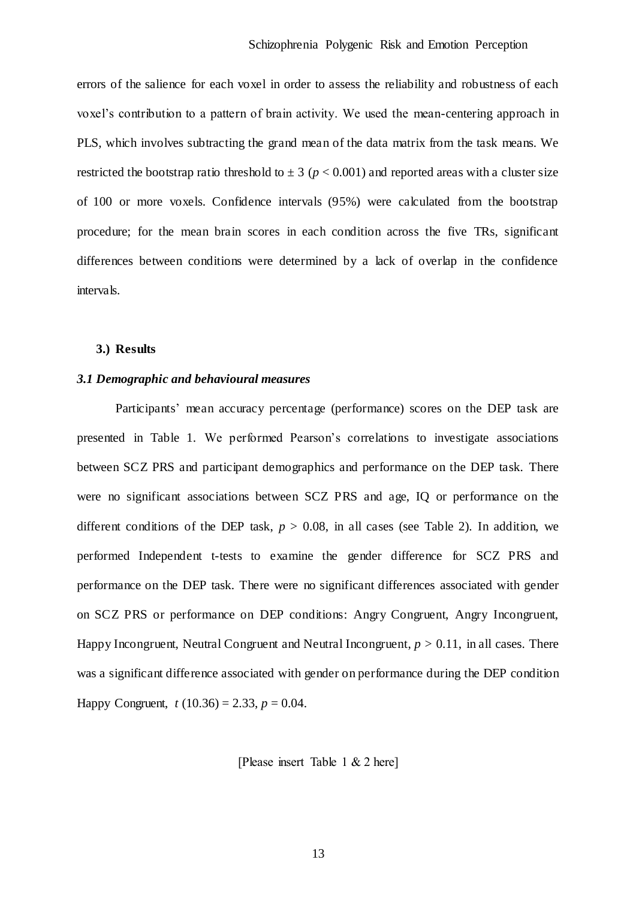errors of the salience for each voxel in order to assess the reliability and robustness of each voxel's contribution to a pattern of brain activity. We used the mean-centering approach in PLS, which involves subtracting the grand mean of the data matrix from the task means. We restricted the bootstrap ratio threshold to  $\pm 3$  ( $p < 0.001$ ) and reported areas with a cluster size of 100 or more voxels. Confidence intervals (95%) were calculated from the bootstrap procedure; for the mean brain scores in each condition across the five TRs, significant differences between conditions were determined by a lack of overlap in the confidence intervals.

#### **3.) Results**

#### *3.1 Demographic and behavioural measures*

Participants' mean accuracy percentage (performance) scores on the DEP task are presented in Table 1. We performed Pearson's correlations to investigate associations between SCZ PRS and participant demographics and performance on the DEP task. There were no significant associations between SCZ PRS and age, IQ or performance on the different conditions of the DEP task,  $p > 0.08$ , in all cases (see Table 2). In addition, we performed Independent t-tests to examine the gender difference for SCZ PRS and performance on the DEP task. There were no significant differences associated with gender on SCZ PRS or performance on DEP conditions: Angry Congruent, Angry Incongruent, Happy Incongruent, Neutral Congruent and Neutral Incongruent, *p >* 0.11, in all cases. There was a significant difference associated with gender on performance during the DEP condition Happy Congruent,  $t(10.36) = 2.33$ ,  $p = 0.04$ .

[Please insert Table 1 & 2 here]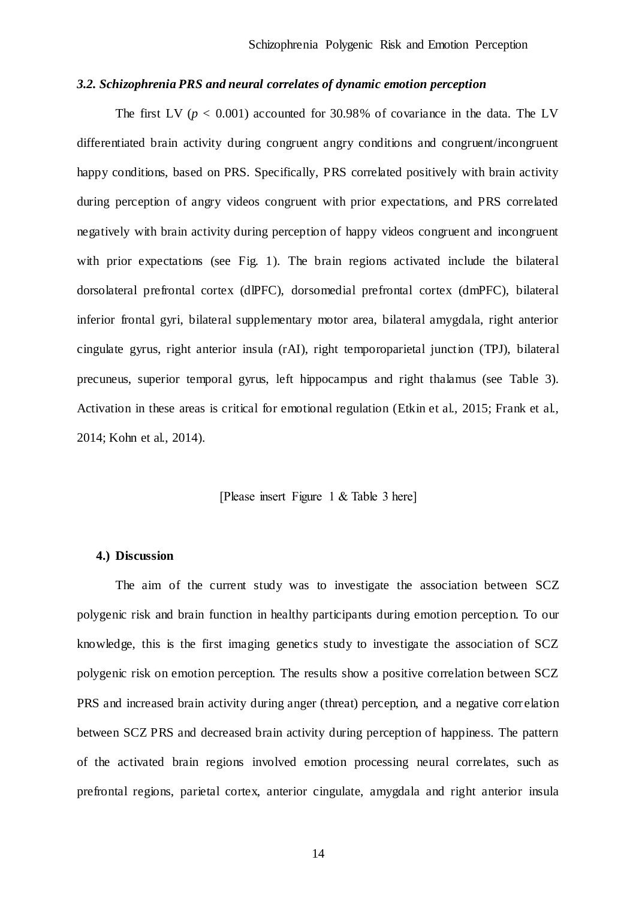## *3.2. Schizophrenia PRS and neural correlates of dynamic emotion perception*

The first LV  $(p < 0.001)$  accounted for 30.98% of covariance in the data. The LV differentiated brain activity during congruent angry conditions and congruent/incongruent happy conditions, based on PRS. Specifically, PRS correlated positively with brain activity during perception of angry videos congruent with prior expectations, and PRS correlated negatively with brain activity during perception of happy videos congruent and incongruent with prior expectations (see Fig. 1). The brain regions activated include the bilateral dorsolateral prefrontal cortex (dlPFC), dorsomedial prefrontal cortex (dmPFC), bilateral inferior frontal gyri, bilateral supplementary motor area, bilateral amygdala, right anterior cingulate gyrus, right anterior insula (rAI), right temporoparietal junction (TPJ), bilateral precuneus, superior temporal gyrus, left hippocampus and right thalamus (see Table 3). Activation in these areas is critical for emotional regulation [\(Etkin et al., 2015;](#page-20-6) [Frank et al.,](#page-20-7)  [2014;](#page-20-7) [Kohn et al., 2014\)](#page-21-2).

[Please insert Figure 1 & Table 3 here]

# **4.) Discussion**

The aim of the current study was to investigate the association between SCZ polygenic risk and brain function in healthy participants during emotion perception. To our knowledge, this is the first imaging genetics study to investigate the association of SCZ polygenic risk on emotion perception. The results show a positive correlation between SCZ PRS and increased brain activity during anger (threat) perception, and a negative correlation between SCZ PRS and decreased brain activity during perception of happiness. The pattern of the activated brain regions involved emotion processing neural correlates, such as prefrontal regions, parietal cortex, anterior cingulate, amygdala and right anterior insula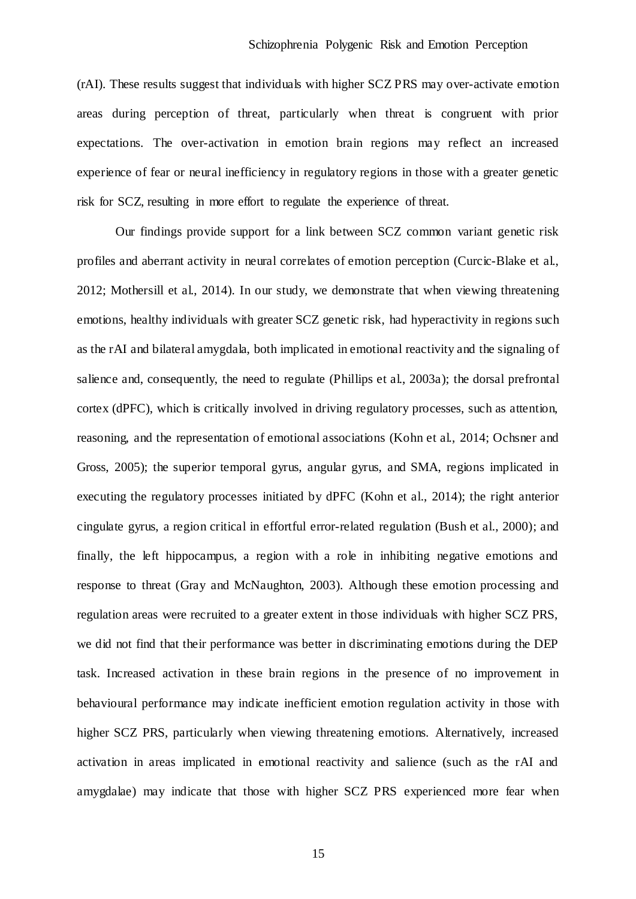## Schizophrenia Polygenic Risk and Emotion Perception

(rAI). These results suggest that individuals with higher SCZ PRS may over-activate emotion areas during perception of threat, particularly when threat is congruent with prior expectations. The over-activation in emotion brain regions may reflect an increased experience of fear or neural inefficiency in regulatory regions in those with a greater genetic risk for SCZ, resulting in more effort to regulate the experience of threat.

Our findings provide support for a link between SCZ common variant genetic risk profiles and aberrant activity in neural correlates of emotion perception [\(Curcic-Blake et al.,](#page-20-3)  [2012;](#page-20-3) [Mothersill et al., 2014\)](#page-23-4). In our study, we demonstrate that when viewing threatening emotions, healthy individuals with greater SCZ genetic risk, had hyperactivity in regions such as the rAI and bilateral amygdala, both implicated in emotional reactivity and the signaling of salience and, consequently, the need to regulate [\(Phillips et al., 2003a\)](#page-24-2); the dorsal prefrontal cortex (dPFC), which is critically involved in driving regulatory processes, such as attention, reasoning, and the representation of emotional associations [\(Kohn et al., 2014;](#page-21-2) [Ochsner and](#page-23-5)  [Gross, 2005\)](#page-23-5); the superior temporal gyrus, angular gyrus, and SMA, regions implicated in executing the regulatory processes initiated by dPFC [\(Kohn et al., 2014\)](#page-21-2); the right anterior cingulate gyrus, a region critical in effortful error-related regulation [\(Bush et al., 2000\)](#page-19-8); and finally, the left hippocampus, a region with a role in inhibiting negative emotions and response to threat [\(Gray and McNaughton, 2003\)](#page-21-3). Although these emotion processing and regulation areas were recruited to a greater extent in those individuals with higher SCZ PRS, we did not find that their performance was better in discriminating emotions during the DEP task. Increased activation in these brain regions in the presence of no improvement in behavioural performance may indicate inefficient emotion regulation activity in those with higher SCZ PRS, particularly when viewing threatening emotions. Alternatively, increased activation in areas implicated in emotional reactivity and salience (such as the rAI and amygdalae) may indicate that those with higher SCZ PRS experienced more fear when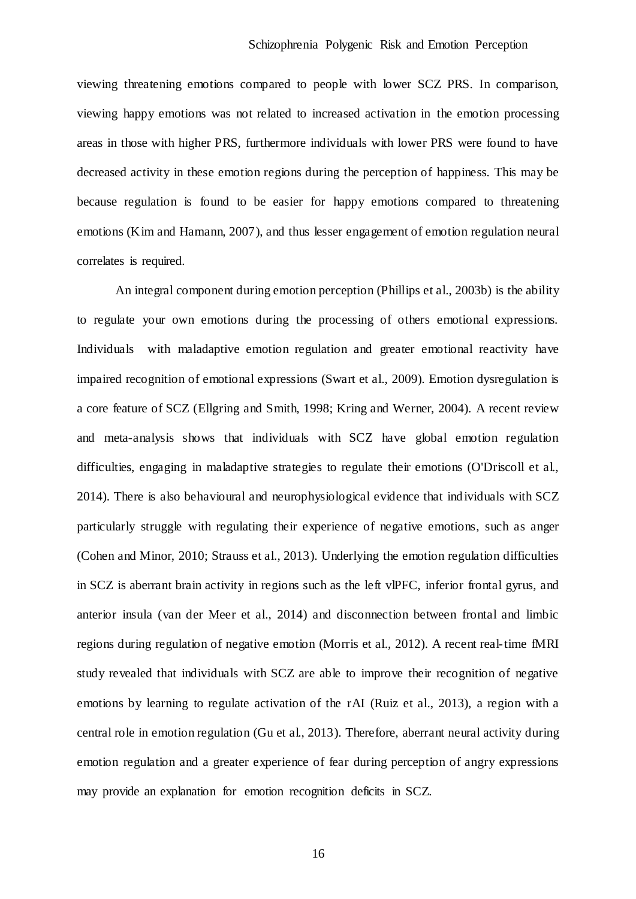viewing threatening emotions compared to people with lower SCZ PRS. In comparison, viewing happy emotions was not related to increased activation in the emotion processing areas in those with higher PRS, furthermore individuals with lower PRS were found to have decreased activity in these emotion regions during the perception of happiness. This may be because regulation is found to be easier for happy emotions compared to threatening emotions [\(Kim and Hamann, 2007\)](#page-21-4), and thus lesser engagement of emotion regulation neural correlates is required.

An integral component during emotion perception [\(Phillips et al., 2003b\)](#page-24-3) is the ability to regulate your own emotions during the processing of others emotional expressions. Individuals with maladaptive emotion regulation and greater emotional reactivity have impaired recognition of emotional expressions [\(Swart et al., 2009\)](#page-27-5). Emotion dysregulation is a core feature of SCZ [\(Ellgring and Smith, 1998;](#page-20-8) [Kring and Werner, 2004\)](#page-21-5). A recent review and meta-analysis shows that individuals with SCZ have global emotion regulation difficulties, engaging in maladaptive strategies to regulate their emotions [\(O'Driscoll et al.,](#page-23-6)  [2014\)](#page-23-6). There is also behavioural and neurophysiological evidence that individuals with SCZ particularly struggle with regulating their experience of negative emotions, such as anger [\(Cohen and Minor, 2010;](#page-19-9) [Strauss et al., 2013\)](#page-26-3). Underlying the emotion regulation difficulties in SCZ is aberrant brain activity in regions such as the left vlPFC, inferior frontal gyrus, and anterior insula [\(van der Meer et al., 2014\)](#page-27-6) and disconnection between frontal and limbic regions during regulation of negative emotion [\(Morris et al., 2012\)](#page-23-7). A recent real-time fMRI study revealed that individuals with SCZ are able to improve their recognition of negative emotions by learning to regulate activation of the rAI [\(Ruiz et al., 2013\)](#page-26-4), a region with a central role in emotion regulation [\(Gu et al., 2013\)](#page-21-6). Therefore, aberrant neural activity during emotion regulation and a greater experience of fear during perception of angry expressions may provide an explanation for emotion recognition deficits in SCZ.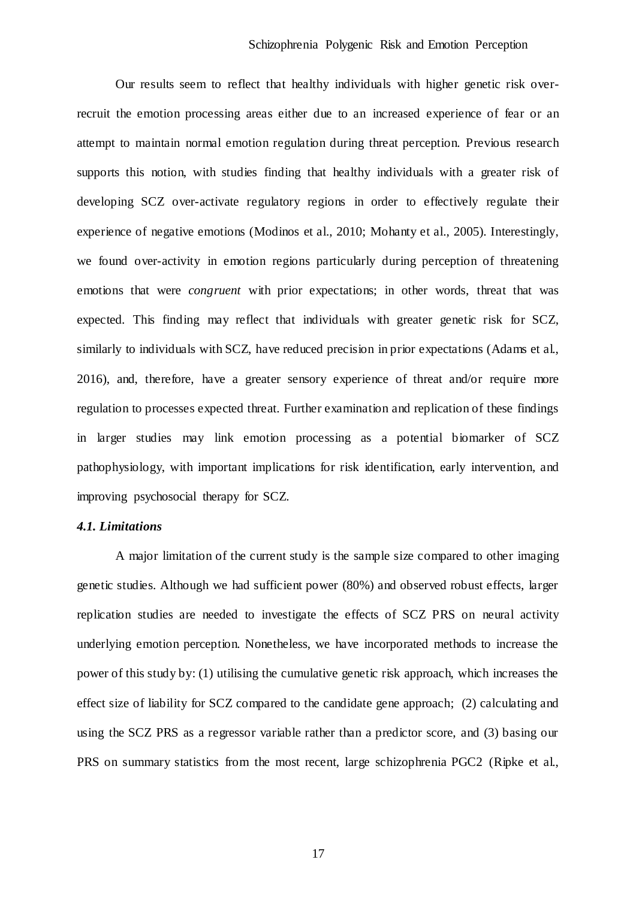## Schizophrenia Polygenic Risk and Emotion Perception

Our results seem to reflect that healthy individuals with higher genetic risk overrecruit the emotion processing areas either due to an increased experience of fear or an attempt to maintain normal emotion regulation during threat perception. Previous research supports this notion, with studies finding that healthy individuals with a greater risk of developing SCZ over-activate regulatory regions in order to effectively regulate their experience of negative emotions [\(Modinos et al., 2010;](#page-22-8) [Mohanty et al., 2005\)](#page-23-8). Interestingly, we found over-activity in emotion regions particularly during perception of threatening emotions that were *congruent* with prior expectations; in other words, threat that was expected. This finding may reflect that individuals with greater genetic risk for SCZ, similarly to individuals with SCZ, have reduced precision in prior expectations [\(Adams et al.,](#page-19-4)  [2016\)](#page-19-4), and, therefore, have a greater sensory experience of threat and/or require more regulation to processes expected threat. Further examination and replication of these findings in larger studies may link emotion processing as a potential biomarker of SCZ pathophysiology, with important implications for risk identification, early intervention, and improving psychosocial therapy for SCZ.

## *4.1. Limitations*

A major limitation of the current study is the sample size compared to other imaging genetic studies. Although we had sufficient power (80%) and observed robust effects, larger replication studies are needed to investigate the effects of SCZ PRS on neural activity underlying emotion perception. Nonetheless, we have incorporated methods to increase the power of this study by: (1) utilising the cumulative genetic risk approach, which increases the effect size of liability for SCZ compared to the candidate gene approach; (2) calculating and using the SCZ PRS as a regressor variable rather than a predictor score, and (3) basing our PRS on summary statistics from the most recent, large schizophrenia PGC2 (Ripke et al.,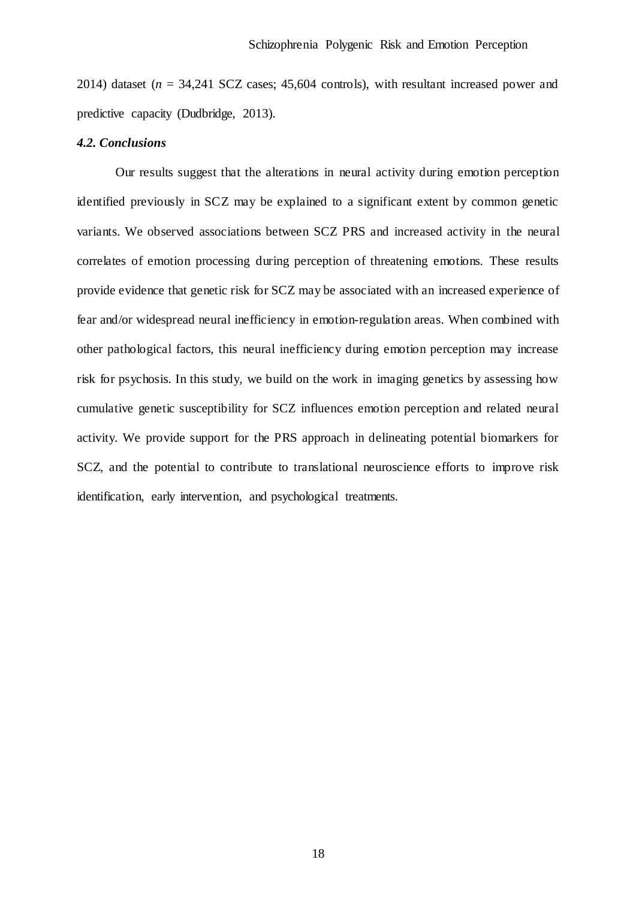[2014\)](#page-24-0) dataset  $(n = 34,241$  SCZ cases; 45,604 controls), with resultant increased power and predictive capacity [\(Dudbridge, 2013\)](#page-20-9).

## *4.2. Conclusions*

Our results suggest that the alterations in neural activity during emotion perception identified previously in SCZ may be explained to a significant extent by common genetic variants. We observed associations between SCZ PRS and increased activity in the neural correlates of emotion processing during perception of threatening emotions. These results provide evidence that genetic risk for SCZ may be associated with an increased experience of fear and/or widespread neural inefficiency in emotion-regulation areas. When combined with other pathological factors, this neural inefficiency during emotion perception may increase risk for psychosis. In this study, we build on the work in imaging genetics by assessing how cumulative genetic susceptibility for SCZ influences emotion perception and related neural activity. We provide support for the PRS approach in delineating potential biomarkers for SCZ, and the potential to contribute to translational neuroscience efforts to improve risk identification, early intervention, and psychological treatments.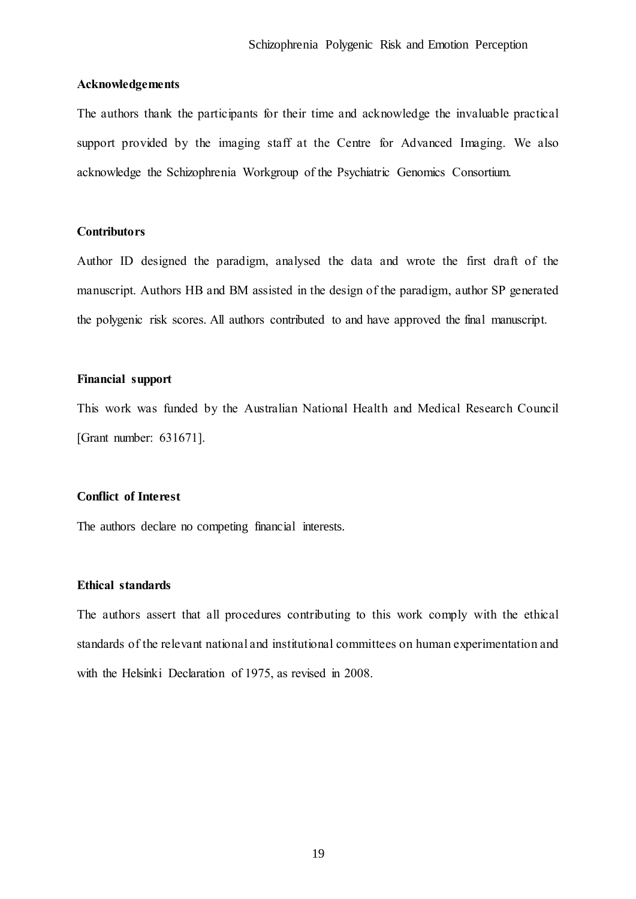## **Acknowledgements**

The authors thank the participants for their time and acknowledge the invaluable practical support provided by the imaging staff at the Centre for Advanced Imaging. We also acknowledge the Schizophrenia Workgroup of the Psychiatric Genomics Consortium.

# **Contributors**

Author ID designed the paradigm, analysed the data and wrote the first draft of the manuscript. Authors HB and BM assisted in the design of the paradigm, author SP generated the polygenic risk scores. All authors contributed to and have approved the final manuscript.

## **Financial support**

This work was funded by the Australian National Health and Medical Research Council [Grant number: 631671].

## **Conflict of Interest**

The authors declare no competing financial interests.

#### **Ethical standards**

The authors assert that all procedures contributing to this work comply with the ethical standards of the relevant national and institutional committees on human experimentation and with the Helsinki Declaration of 1975, as revised in 2008.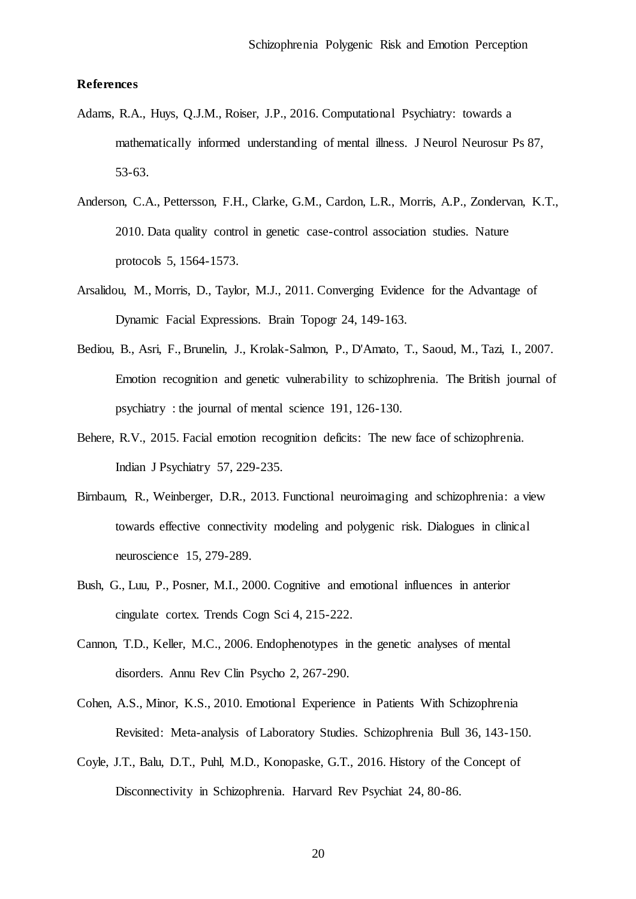## **References**

- <span id="page-19-4"></span>Adams, R.A., Huys, Q.J.M., Roiser, J.P., 2016. Computational Psychiatry: towards a mathematically informed understanding of mental illness. J Neurol Neurosur Ps 87, 53-63.
- <span id="page-19-7"></span>Anderson, C.A., Pettersson, F.H., Clarke, G.M., Cardon, L.R., Morris, A.P., Zondervan, K.T., 2010. Data quality control in genetic case-control association studies. Nature protocols 5, 1564-1573.
- <span id="page-19-3"></span>Arsalidou, M., Morris, D., Taylor, M.J., 2011. Converging Evidence for the Advantage of Dynamic Facial Expressions. Brain Topogr 24, 149-163.
- <span id="page-19-1"></span>Bediou, B., Asri, F., Brunelin, J., Krolak-Salmon, P., D'Amato, T., Saoud, M., Tazi, I., 2007. Emotion recognition and genetic vulnerability to schizophrenia. The British journal of psychiatry : the journal of mental science 191, 126-130.
- <span id="page-19-2"></span>Behere, R.V., 2015. Facial emotion recognition deficits: The new face of schizophrenia. Indian J Psychiatry 57, 229-235.
- <span id="page-19-6"></span>Birnbaum, R., Weinberger, D.R., 2013. Functional neuroimaging and schizophrenia: a view towards effective connectivity modeling and polygenic risk. Dialogues in clinical neuroscience 15, 279-289.
- <span id="page-19-8"></span>Bush, G., Luu, P., Posner, M.I., 2000. Cognitive and emotional influences in anterior cingulate cortex. Trends Cogn Sci 4, 215-222.
- <span id="page-19-0"></span>Cannon, T.D., Keller, M.C., 2006. Endophenotypes in the genetic analyses of mental disorders. Annu Rev Clin Psycho 2, 267-290.
- <span id="page-19-9"></span>Cohen, A.S., Minor, K.S., 2010. Emotional Experience in Patients With Schizophrenia Revisited: Meta-analysis of Laboratory Studies. Schizophrenia Bull 36, 143-150.
- <span id="page-19-5"></span>Coyle, J.T., Balu, D.T., Puhl, M.D., Konopaske, G.T., 2016. History of the Concept of Disconnectivity in Schizophrenia. Harvard Rev Psychiat 24, 80-86.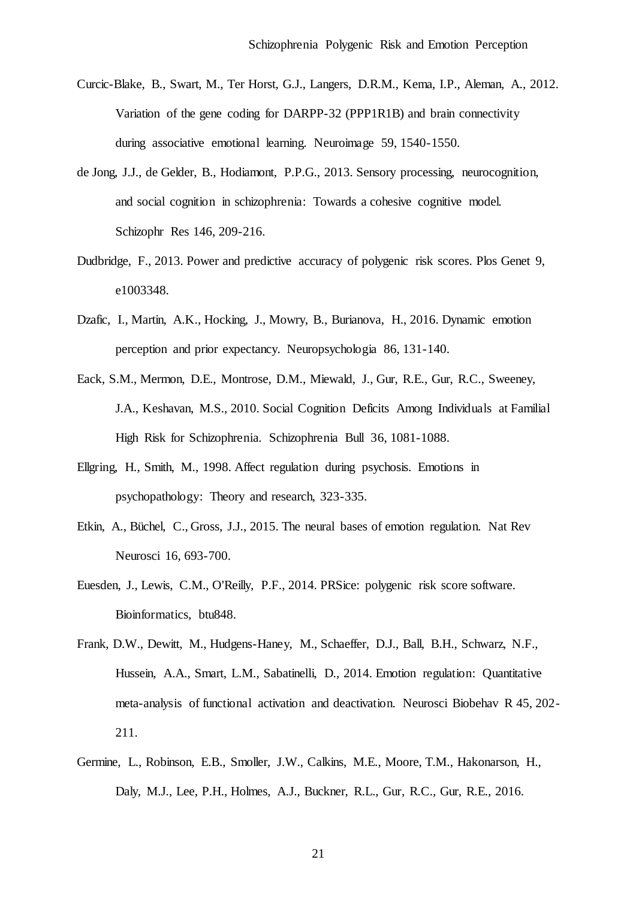- <span id="page-20-3"></span>Curcic-Blake, B., Swart, M., Ter Horst, G.J., Langers, D.R.M., Kema, I.P., Aleman, A., 2012. Variation of the gene coding for DARPP-32 (PPP1R1B) and brain connectivity during associative emotional learning. Neuroimage 59, 1540-1550.
- <span id="page-20-0"></span>de Jong, J.J., de Gelder, B., Hodiamont, P.P.G., 2013. Sensory processing, neurocognition, and social cognition in schizophrenia: Towards a cohesive cognitive model. Schizophr Res 146, 209-216.
- <span id="page-20-9"></span>Dudbridge, F., 2013. Power and predictive accuracy of polygenic risk scores. Plos Genet 9, e1003348.
- <span id="page-20-4"></span>Dzafic, I., Martin, A.K., Hocking, J., Mowry, B., Burianova, H., 2016. Dynamic emotion perception and prior expectancy. Neuropsychologia 86, 131-140.
- <span id="page-20-2"></span>Eack, S.M., Mermon, D.E., Montrose, D.M., Miewald, J., Gur, R.E., Gur, R.C., Sweeney, J.A., Keshavan, M.S., 2010. Social Cognition Deficits Among Individuals at Familial High Risk for Schizophrenia. Schizophrenia Bull 36, 1081-1088.
- <span id="page-20-8"></span>Ellgring, H., Smith, M., 1998. Affect regulation during psychosis. Emotions in psychopathology: Theory and research, 323-335.
- <span id="page-20-6"></span>Etkin, A., Büchel, C., Gross, J.J., 2015. The neural bases of emotion regulation. Nat Rev Neurosci 16, 693-700.
- <span id="page-20-5"></span>Euesden, J., Lewis, C.M., O'Reilly, P.F., 2014. PRSice: polygenic risk score software. Bioinformatics, btu848.
- <span id="page-20-7"></span>Frank, D.W., Dewitt, M., Hudgens-Haney, M., Schaeffer, D.J., Ball, B.H., Schwarz, N.F., Hussein, A.A., Smart, L.M., Sabatinelli, D., 2014. Emotion regulation: Quantitative meta-analysis of functional activation and deactivation. Neurosci Biobehav R 45, 202- 211.
- <span id="page-20-1"></span>Germine, L., Robinson, E.B., Smoller, J.W., Calkins, M.E., Moore, T.M., Hakonarson, H., Daly, M.J., Lee, P.H., Holmes, A.J., Buckner, R.L., Gur, R.C., Gur, R.E., 2016.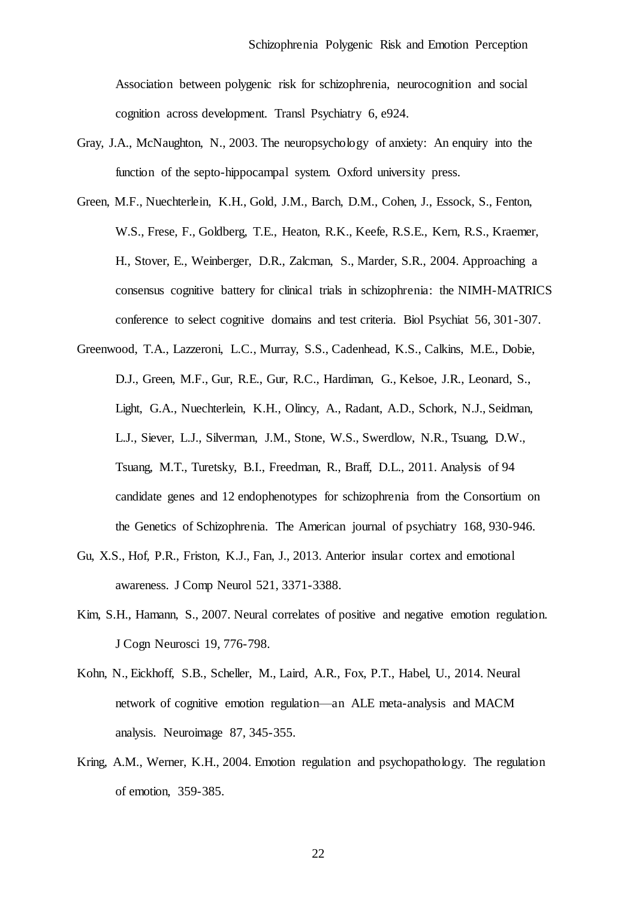Association between polygenic risk for schizophrenia, neurocognition and social cognition across development. Transl Psychiatry 6, e924.

- <span id="page-21-3"></span>Gray, J.A., McNaughton, N., 2003. The neuropsychology of anxiety: An enquiry into the function of the septo-hippocampal system. Oxford university press.
- <span id="page-21-0"></span>Green, M.F., Nuechterlein, K.H., Gold, J.M., Barch, D.M., Cohen, J., Essock, S., Fenton, W.S., Frese, F., Goldberg, T.E., Heaton, R.K., Keefe, R.S.E., Kern, R.S., Kraemer, H., Stover, E., Weinberger, D.R., Zalcman, S., Marder, S.R., 2004. Approaching a consensus cognitive battery for clinical trials in schizophrenia: the NIMH-MATRICS conference to select cognitive domains and test criteria. Biol Psychiat 56, 301-307.
- <span id="page-21-1"></span>Greenwood, T.A., Lazzeroni, L.C., Murray, S.S., Cadenhead, K.S., Calkins, M.E., Dobie, D.J., Green, M.F., Gur, R.E., Gur, R.C., Hardiman, G., Kelsoe, J.R., Leonard, S., Light, G.A., Nuechterlein, K.H., Olincy, A., Radant, A.D., Schork, N.J., Seidman, L.J., Siever, L.J., Silverman, J.M., Stone, W.S., Swerdlow, N.R., Tsuang, D.W., Tsuang, M.T., Turetsky, B.I., Freedman, R., Braff, D.L., 2011. Analysis of 94 candidate genes and 12 endophenotypes for schizophrenia from the Consortium on the Genetics of Schizophrenia. The American journal of psychiatry 168, 930-946.
- <span id="page-21-6"></span>Gu, X.S., Hof, P.R., Friston, K.J., Fan, J., 2013. Anterior insular cortex and emotional awareness. J Comp Neurol 521, 3371-3388.
- <span id="page-21-4"></span>Kim, S.H., Hamann, S., 2007. Neural correlates of positive and negative emotion regulation. J Cogn Neurosci 19, 776-798.
- <span id="page-21-2"></span>Kohn, N., Eickhoff, S.B., Scheller, M., Laird, A.R., Fox, P.T., Habel, U., 2014. Neural network of cognitive emotion regulation—an ALE meta-analysis and MACM analysis. Neuroimage 87, 345-355.
- <span id="page-21-5"></span>Kring, A.M., Werner, K.H., 2004. Emotion regulation and psychopathology. The regulation of emotion, 359-385.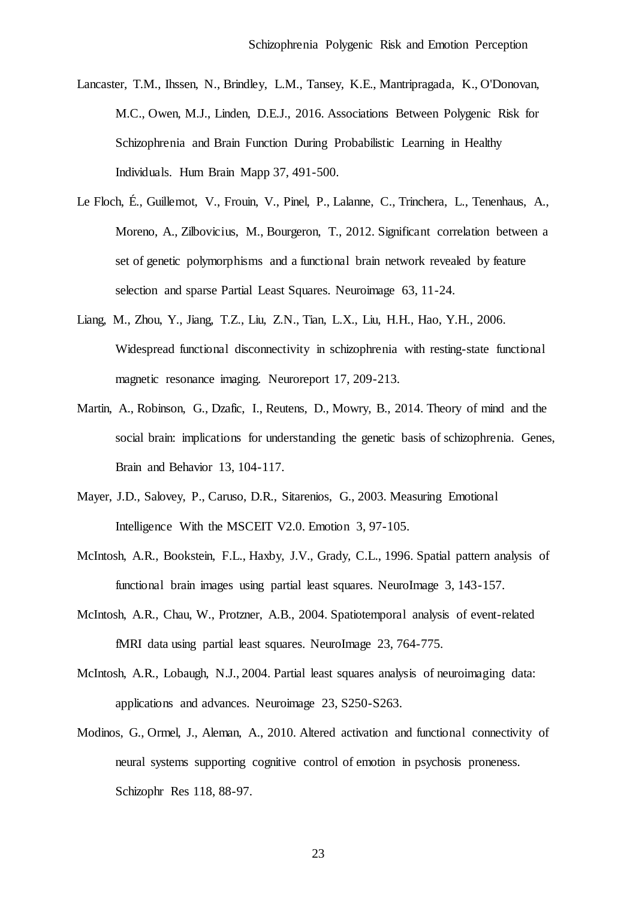- <span id="page-22-2"></span>Lancaster, T.M., Ihssen, N., Brindley, L.M., Tansey, K.E., Mantripragada, K., O'Donovan, M.C., Owen, M.J., Linden, D.E.J., 2016. Associations Between Polygenic Risk for Schizophrenia and Brain Function During Probabilistic Learning in Healthy Individuals. Hum Brain Mapp 37, 491-500.
- <span id="page-22-6"></span>Le Floch, É., Guillemot, V., Frouin, V., Pinel, P., Lalanne, C., Trinchera, L., Tenenhaus, A., Moreno, A., Zilbovicius, M., Bourgeron, T., 2012. Significant correlation between a set of genetic polymorphisms and a functional brain network revealed by feature selection and sparse Partial Least Squares. Neuroimage 63, 11-24.
- <span id="page-22-1"></span>Liang, M., Zhou, Y., Jiang, T.Z., Liu, Z.N., Tian, L.X., Liu, H.H., Hao, Y.H., 2006. Widespread functional disconnectivity in schizophrenia with resting-state functional magnetic resonance imaging. Neuroreport 17, 209-213.
- <span id="page-22-0"></span>Martin, A., Robinson, G., Dzafic, I., Reutens, D., Mowry, B., 2014. Theory of mind and the social brain: implications for understanding the genetic basis of schizophrenia. Genes, Brain and Behavior 13, 104-117.
- <span id="page-22-3"></span>Mayer, J.D., Salovey, P., Caruso, D.R., Sitarenios, G., 2003. Measuring Emotional Intelligence With the MSCEIT V2.0. Emotion 3, 97-105.
- <span id="page-22-7"></span>McIntosh, A.R., Bookstein, F.L., Haxby, J.V., Grady, C.L., 1996. Spatial pattern analysis of functional brain images using partial least squares. NeuroImage 3, 143-157.
- <span id="page-22-5"></span>McIntosh, A.R., Chau, W., Protzner, A.B., 2004. Spatiotemporal analysis of event-related fMRI data using partial least squares. NeuroImage 23, 764-775.
- <span id="page-22-4"></span>McIntosh, A.R., Lobaugh, N.J., 2004. Partial least squares analysis of neuroimaging data: applications and advances. Neuroimage 23, S250-S263.
- <span id="page-22-8"></span>Modinos, G., Ormel, J., Aleman, A., 2010. Altered activation and functional connectivity of neural systems supporting cognitive control of emotion in psychosis proneness. Schizophr Res 118, 88-97.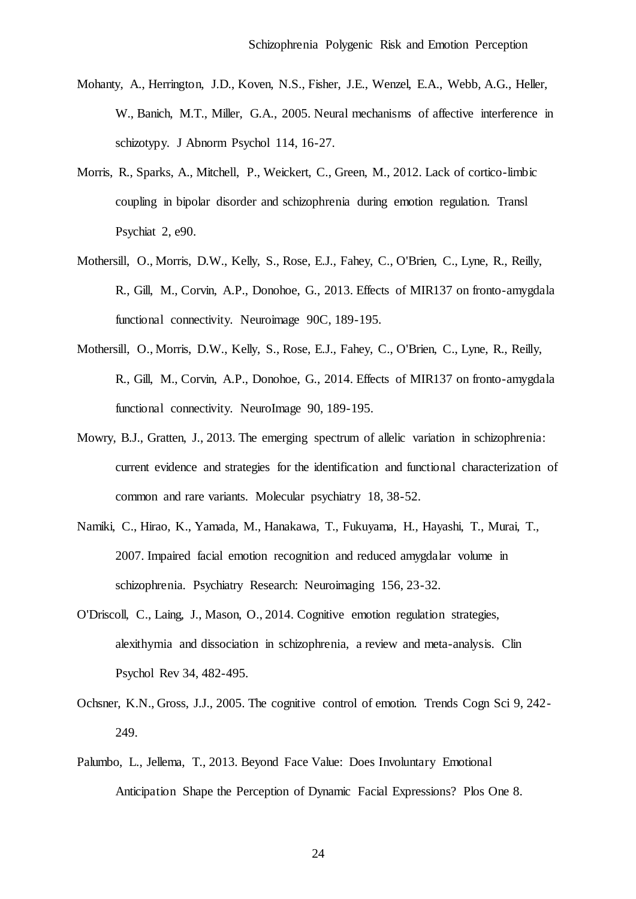- <span id="page-23-8"></span>Mohanty, A., Herrington, J.D., Koven, N.S., Fisher, J.E., Wenzel, E.A., Webb, A.G., Heller, W., Banich, M.T., Miller, G.A., 2005. Neural mechanisms of affective interference in schizotypy. J Abnorm Psychol 114, 16-27.
- <span id="page-23-7"></span>Morris, R., Sparks, A., Mitchell, P., Weickert, C., Green, M., 2012. Lack of cortico-limbic coupling in bipolar disorder and schizophrenia during emotion regulation. Transl Psychiat 2, e90.
- <span id="page-23-3"></span>Mothersill, O., Morris, D.W., Kelly, S., Rose, E.J., Fahey, C., O'Brien, C., Lyne, R., Reilly, R., Gill, M., Corvin, A.P., Donohoe, G., 2013. Effects of MIR137 on fronto-amygdala functional connectivity. Neuroimage 90C, 189-195.
- <span id="page-23-4"></span>Mothersill, O., Morris, D.W., Kelly, S., Rose, E.J., Fahey, C., O'Brien, C., Lyne, R., Reilly, R., Gill, M., Corvin, A.P., Donohoe, G., 2014. Effects of MIR137 on fronto-amygdala functional connectivity. NeuroImage 90, 189-195.
- <span id="page-23-0"></span>Mowry, B.J., Gratten, J., 2013. The emerging spectrum of allelic variation in schizophrenia: current evidence and strategies for the identification and functional characterization of common and rare variants. Molecular psychiatry 18, 38-52.
- <span id="page-23-1"></span>Namiki, C., Hirao, K., Yamada, M., Hanakawa, T., Fukuyama, H., Hayashi, T., Murai, T., 2007. Impaired facial emotion recognition and reduced amygdalar volume in schizophrenia. Psychiatry Research: Neuroimaging 156, 23-32.
- <span id="page-23-6"></span>O'Driscoll, C., Laing, J., Mason, O., 2014. Cognitive emotion regulation strategies, alexithymia and dissociation in schizophrenia, a review and meta-analysis. Clin Psychol Rev 34, 482-495.
- <span id="page-23-5"></span>Ochsner, K.N., Gross, J.J., 2005. The cognitive control of emotion. Trends Cogn Sci 9, 242- 249.
- <span id="page-23-2"></span>Palumbo, L., Jellema, T., 2013. Beyond Face Value: Does Involuntary Emotional Anticipation Shape the Perception of Dynamic Facial Expressions? Plos One 8.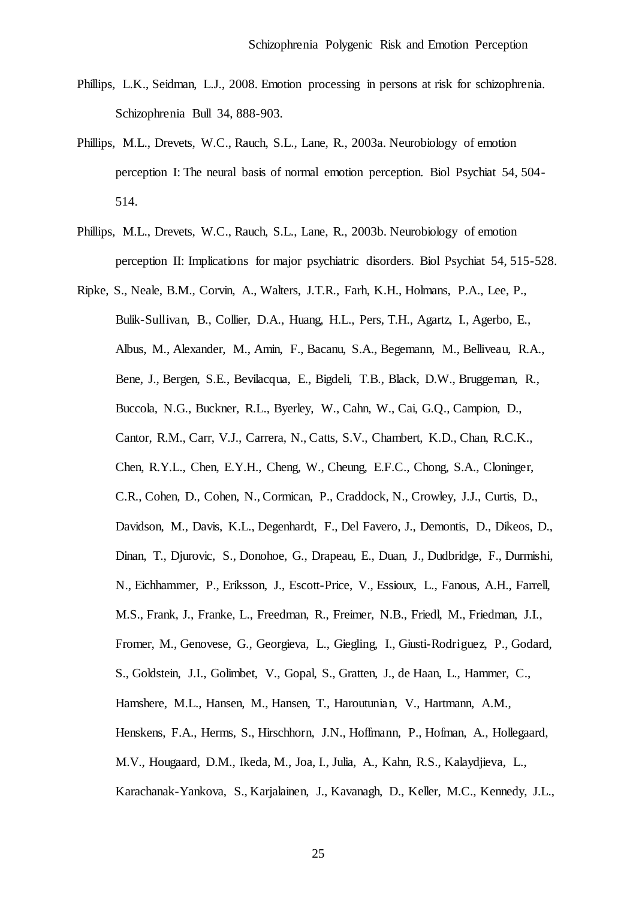- <span id="page-24-1"></span>Phillips, L.K., Seidman, L.J., 2008. Emotion processing in persons at risk for schizophrenia. Schizophrenia Bull 34, 888-903.
- <span id="page-24-2"></span>Phillips, M.L., Drevets, W.C., Rauch, S.L., Lane, R., 2003a. Neurobiology of emotion perception I: The neural basis of normal emotion perception. Biol Psychiat 54, 504- 514.
- <span id="page-24-3"></span>Phillips, M.L., Drevets, W.C., Rauch, S.L., Lane, R., 2003b. Neurobiology of emotion perception II: Implications for major psychiatric disorders. Biol Psychiat 54, 515-528.
- <span id="page-24-0"></span>Ripke, S., Neale, B.M., Corvin, A., Walters, J.T.R., Farh, K.H., Holmans, P.A., Lee, P., Bulik-Sullivan, B., Collier, D.A., Huang, H.L., Pers, T.H., Agartz, I., Agerbo, E., Albus, M., Alexander, M., Amin, F., Bacanu, S.A., Begemann, M., Belliveau, R.A., Bene, J., Bergen, S.E., Bevilacqua, E., Bigdeli, T.B., Black, D.W., Bruggeman, R., Buccola, N.G., Buckner, R.L., Byerley, W., Cahn, W., Cai, G.Q., Campion, D., Cantor, R.M., Carr, V.J., Carrera, N., Catts, S.V., Chambert, K.D., Chan, R.C.K., Chen, R.Y.L., Chen, E.Y.H., Cheng, W., Cheung, E.F.C., Chong, S.A., Cloninger, C.R., Cohen, D., Cohen, N., Cormican, P., Craddock, N., Crowley, J.J., Curtis, D., Davidson, M., Davis, K.L., Degenhardt, F., Del Favero, J., Demontis, D., Dikeos, D., Dinan, T., Djurovic, S., Donohoe, G., Drapeau, E., Duan, J., Dudbridge, F., Durmishi, N., Eichhammer, P., Eriksson, J., Escott-Price, V., Essioux, L., Fanous, A.H., Farrell, M.S., Frank, J., Franke, L., Freedman, R., Freimer, N.B., Friedl, M., Friedman, J.I., Fromer, M., Genovese, G., Georgieva, L., Giegling, I., Giusti-Rodriguez, P., Godard, S., Goldstein, J.I., Golimbet, V., Gopal, S., Gratten, J., de Haan, L., Hammer, C., Hamshere, M.L., Hansen, M., Hansen, T., Haroutunian, V., Hartmann, A.M., Henskens, F.A., Herms, S., Hirschhorn, J.N., Hoffmann, P., Hofman, A., Hollegaard, M.V., Hougaard, D.M., Ikeda, M., Joa, I., Julia, A., Kahn, R.S., Kalaydjieva, L.,
	- Karachanak-Yankova, S., Karjalainen, J., Kavanagh, D., Keller, M.C., Kennedy, J.L.,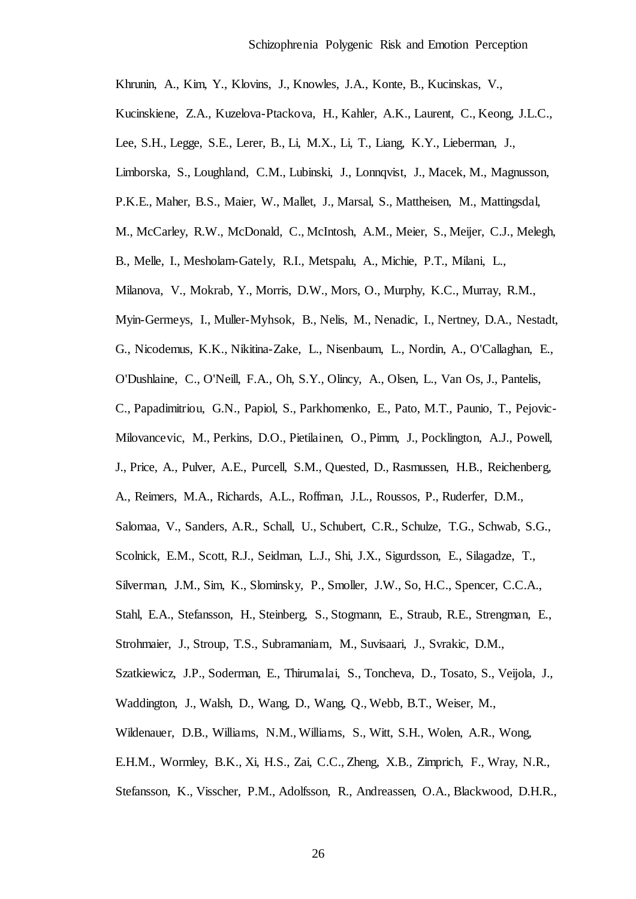Khrunin, A., Kim, Y., Klovins, J., Knowles, J.A., Konte, B., Kucinskas, V.,

- Kucinskiene, Z.A., Kuzelova-Ptackova, H., Kahler, A.K., Laurent, C., Keong, J.L.C.,
- Lee, S.H., Legge, S.E., Lerer, B., Li, M.X., Li, T., Liang, K.Y., Lieberman, J.,
- Limborska, S., Loughland, C.M., Lubinski, J., Lonnqvist, J., Macek, M., Magnusson,
- P.K.E., Maher, B.S., Maier, W., Mallet, J., Marsal, S., Mattheisen, M., Mattingsdal,
- M., McCarley, R.W., McDonald, C., McIntosh, A.M., Meier, S., Meijer, C.J., Melegh,
- B., Melle, I., Mesholam-Gately, R.I., Metspalu, A., Michie, P.T., Milani, L.,
- Milanova, V., Mokrab, Y., Morris, D.W., Mors, O., Murphy, K.C., Murray, R.M.,
- Myin-Germeys, I., Muller-Myhsok, B., Nelis, M., Nenadic, I., Nertney, D.A., Nestadt,
- G., Nicodemus, K.K., Nikitina-Zake, L., Nisenbaum, L., Nordin, A., O'Callaghan, E.,
- O'Dushlaine, C., O'Neill, F.A., Oh, S.Y., Olincy, A., Olsen, L., Van Os, J., Pantelis,
- C., Papadimitriou, G.N., Papiol, S., Parkhomenko, E., Pato, M.T., Paunio, T., Pejovic-
- Milovancevic, M., Perkins, D.O., Pietilainen, O., Pimm, J., Pocklington, A.J., Powell,
- J., Price, A., Pulver, A.E., Purcell, S.M., Quested, D., Rasmussen, H.B., Reichenberg,
- A., Reimers, M.A., Richards, A.L., Roffman, J.L., Roussos, P., Ruderfer, D.M.,
- Salomaa, V., Sanders, A.R., Schall, U., Schubert, C.R., Schulze, T.G., Schwab, S.G.,
- Scolnick, E.M., Scott, R.J., Seidman, L.J., Shi, J.X., Sigurdsson, E., Silagadze, T.,
- Silverman, J.M., Sim, K., Slominsky, P., Smoller, J.W., So, H.C., Spencer, C.C.A.,
- Stahl, E.A., Stefansson, H., Steinberg, S., Stogmann, E., Straub, R.E., Strengman, E.,
- Strohmaier, J., Stroup, T.S., Subramaniam, M., Suvisaari, J., Svrakic, D.M.,
- Szatkiewicz, J.P., Soderman, E., Thirumalai, S., Toncheva, D., Tosato, S., Veijola, J.,
- Waddington, J., Walsh, D., Wang, D., Wang, Q., Webb, B.T., Weiser, M.,
- Wildenauer, D.B., Williams, N.M., Williams, S., Witt, S.H., Wolen, A.R., Wong,
- E.H.M., Wormley, B.K., Xi, H.S., Zai, C.C., Zheng, X.B., Zimprich, F., Wray, N.R.,
- Stefansson, K., Visscher, P.M., Adolfsson, R., Andreassen, O.A., Blackwood, D.H.R.,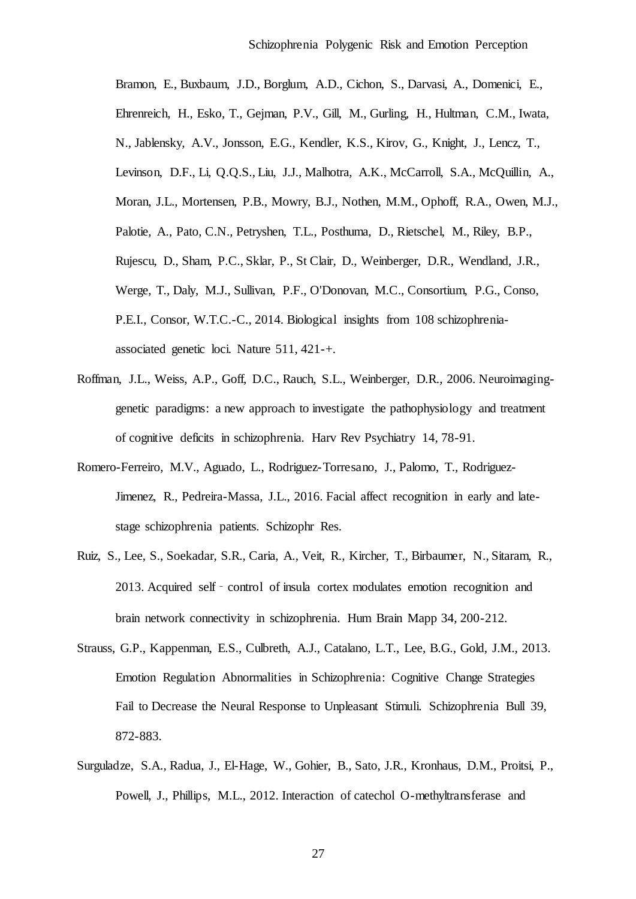Bramon, E., Buxbaum, J.D., Borglum, A.D., Cichon, S., Darvasi, A., Domenici, E., Ehrenreich, H., Esko, T., Gejman, P.V., Gill, M., Gurling, H., Hultman, C.M., Iwata, N., Jablensky, A.V., Jonsson, E.G., Kendler, K.S., Kirov, G., Knight, J., Lencz, T., Levinson, D.F., Li, Q.Q.S., Liu, J.J., Malhotra, A.K., McCarroll, S.A., McQuillin, A., Moran, J.L., Mortensen, P.B., Mowry, B.J., Nothen, M.M., Ophoff, R.A., Owen, M.J., Palotie, A., Pato, C.N., Petryshen, T.L., Posthuma, D., Rietschel, M., Riley, B.P., Rujescu, D., Sham, P.C., Sklar, P., St Clair, D., Weinberger, D.R., Wendland, J.R., Werge, T., Daly, M.J., Sullivan, P.F., O'Donovan, M.C., Consortium, P.G., Conso, P.E.I., Consor, W.T.C.-C., 2014. Biological insights from 108 schizophreniaassociated genetic loci. Nature 511, 421-+.

- <span id="page-26-0"></span>Roffman, J.L., Weiss, A.P., Goff, D.C., Rauch, S.L., Weinberger, D.R., 2006. Neuroimaginggenetic paradigms: a new approach to investigate the pathophysiology and treatment of cognitive deficits in schizophrenia. Harv Rev Psychiatry 14, 78-91.
- <span id="page-26-1"></span>Romero-Ferreiro, M.V., Aguado, L., Rodriguez-Torresano, J., Palomo, T., Rodriguez-Jimenez, R., Pedreira-Massa, J.L., 2016. Facial affect recognition in early and latestage schizophrenia patients. Schizophr Res.
- <span id="page-26-4"></span>Ruiz, S., Lee, S., Soekadar, S.R., Caria, A., Veit, R., Kircher, T., Birbaumer, N., Sitaram, R., 2013. Acquired self - control of insula cortex modulates emotion recognition and brain network connectivity in schizophrenia. Hum Brain Mapp 34, 200-212.
- <span id="page-26-3"></span>Strauss, G.P., Kappenman, E.S., Culbreth, A.J., Catalano, L.T., Lee, B.G., Gold, J.M., 2013. Emotion Regulation Abnormalities in Schizophrenia: Cognitive Change Strategies Fail to Decrease the Neural Response to Unpleasant Stimuli. Schizophrenia Bull 39, 872-883.
- <span id="page-26-2"></span>Surguladze, S.A., Radua, J., El-Hage, W., Gohier, B., Sato, J.R., Kronhaus, D.M., Proitsi, P., Powell, J., Phillips, M.L., 2012. Interaction of catechol O-methyltransferase and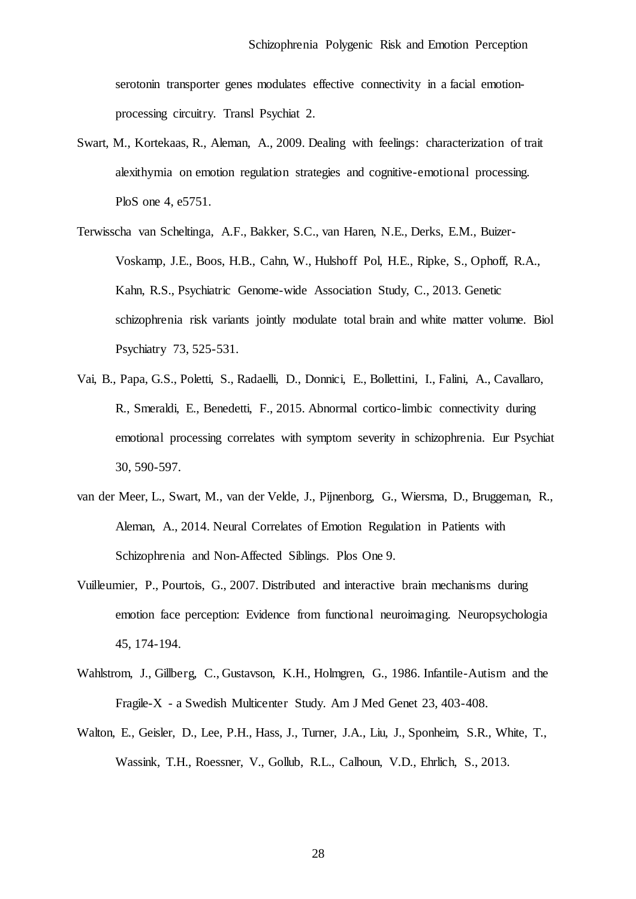serotonin transporter genes modulates effective connectivity in a facial emotionprocessing circuitry. Transl Psychiat 2.

- <span id="page-27-5"></span>Swart, M., Kortekaas, R., Aleman, A., 2009. Dealing with feelings: characterization of trait alexithymia on emotion regulation strategies and cognitive-emotional processing. PloS one 4, e5751.
- <span id="page-27-2"></span>Terwisscha van Scheltinga, A.F., Bakker, S.C., van Haren, N.E., Derks, E.M., Buizer-Voskamp, J.E., Boos, H.B., Cahn, W., Hulshoff Pol, H.E., Ripke, S., Ophoff, R.A., Kahn, R.S., Psychiatric Genome-wide Association Study, C., 2013. Genetic schizophrenia risk variants jointly modulate total brain and white matter volume. Biol Psychiatry 73, 525-531.
- <span id="page-27-1"></span>Vai, B., Papa, G.S., Poletti, S., Radaelli, D., Donnici, E., Bollettini, I., Falini, A., Cavallaro, R., Smeraldi, E., Benedetti, F., 2015. Abnormal cortico-limbic connectivity during emotional processing correlates with symptom severity in schizophrenia. Eur Psychiat 30, 590-597.
- <span id="page-27-6"></span>van der Meer, L., Swart, M., van der Velde, J., Pijnenborg, G., Wiersma, D., Bruggeman, R., Aleman, A., 2014. Neural Correlates of Emotion Regulation in Patients with Schizophrenia and Non-Affected Siblings. Plos One 9.
- <span id="page-27-4"></span>Vuilleumier, P., Pourtois, G., 2007. Distributed and interactive brain mechanisms during emotion face perception: Evidence from functional neuroimaging. Neuropsychologia 45, 174-194.
- <span id="page-27-0"></span>Wahlstrom, J., Gillberg, C., Gustavson, K.H., Holmgren, G., 1986. Infantile-Autism and the Fragile-X - a Swedish Multicenter Study. Am J Med Genet 23, 403-408.
- <span id="page-27-3"></span>Walton, E., Geisler, D., Lee, P.H., Hass, J., Turner, J.A., Liu, J., Sponheim, S.R., White, T., Wassink, T.H., Roessner, V., Gollub, R.L., Calhoun, V.D., Ehrlich, S., 2013.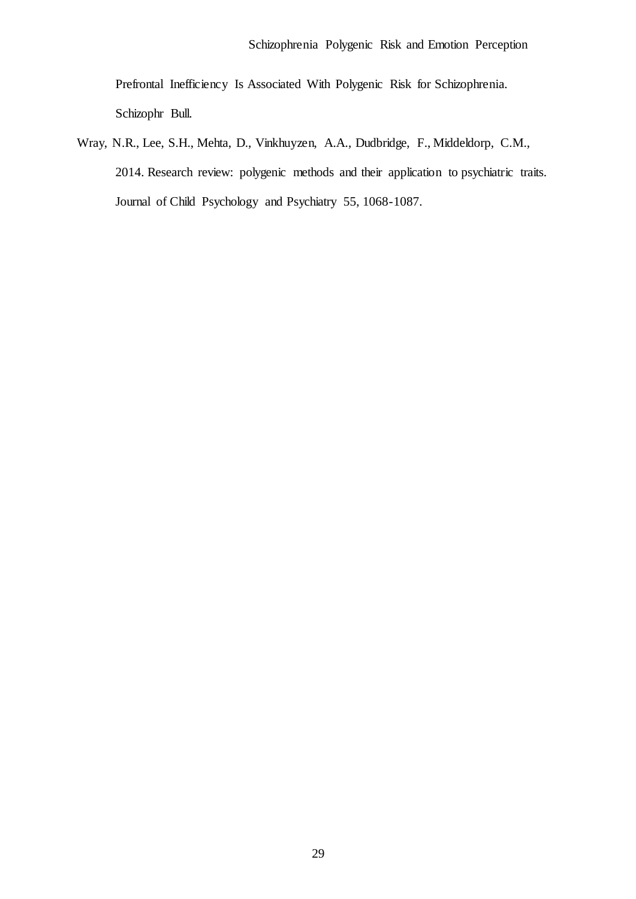Prefrontal Inefficiency Is Associated With Polygenic Risk for Schizophrenia. Schizophr Bull.

<span id="page-28-0"></span>Wray, N.R., Lee, S.H., Mehta, D., Vinkhuyzen, A.A., Dudbridge, F., Middeldorp, C.M., 2014. Research review: polygenic methods and their application to psychiatric traits. Journal of Child Psychology and Psychiatry 55, 1068-1087.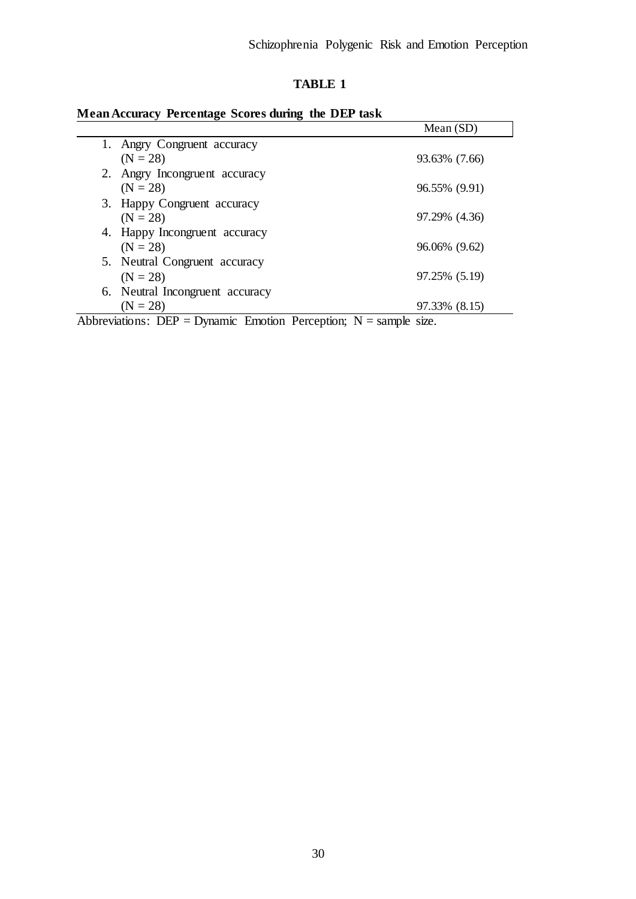# **TABLE 1**

| <b>Mean Accuracy Percentage Scores during the DEP task</b> |  |  |  |  |
|------------------------------------------------------------|--|--|--|--|
|------------------------------------------------------------|--|--|--|--|

|                                 | Mean $(SD)$   |
|---------------------------------|---------------|
| 1. Angry Congruent accuracy     |               |
| $(N = 28)$                      | 93.63% (7.66) |
| 2. Angry Incongruent accuracy   |               |
| $(N = 28)$                      | 96.55% (9.91) |
| 3. Happy Congruent accuracy     |               |
| $(N = 28)$                      | 97.29% (4.36) |
| 4. Happy Incongruent accuracy   |               |
| $(N = 28)$                      | 96.06% (9.62) |
| 5. Neutral Congruent accuracy   |               |
| $(N = 28)$                      | 97.25% (5.19) |
| 6. Neutral Incongruent accuracy |               |
| $(N = 28)$                      | 97.33% (8.15) |

Abbreviations:  $DEF = Dynamic Function$  Perception;  $N = sample size$ .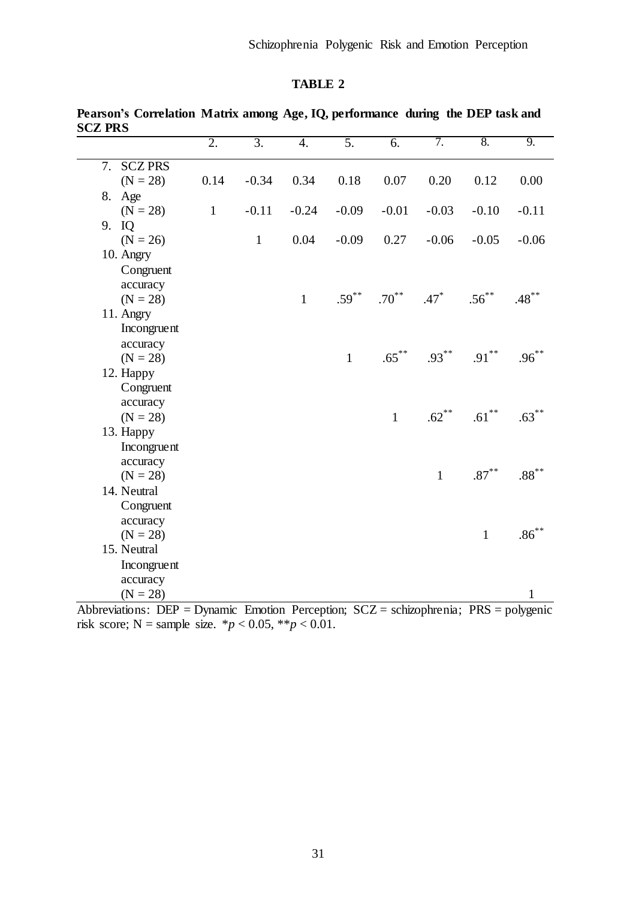| <b>TABLE</b> | ∸ |
|--------------|---|
|--------------|---|

| SCZ FRS                                                                                 |              |                  |                  |                  |                  |              |                  |            |
|-----------------------------------------------------------------------------------------|--------------|------------------|------------------|------------------|------------------|--------------|------------------|------------|
|                                                                                         | 2.           | $\overline{3}$ . | $\overline{4}$ . | $\overline{5}$ . | $\overline{6}$ . | 7.           | 8.               | 9.         |
| 7. SCZ PRS                                                                              |              |                  |                  |                  |                  |              |                  |            |
| $(N = 28)$                                                                              | 0.14         | $-0.34$          | 0.34             | 0.18             | 0.07             | 0.20         | 0.12             | 0.00       |
| 8. Age                                                                                  |              |                  |                  |                  |                  |              |                  |            |
| $(N = 28)$                                                                              | $\mathbf{1}$ | $-0.11$          | $-0.24$          | $-0.09$          | $-0.01$          | $-0.03$      | $-0.10$          | $-0.11$    |
| 9. IQ                                                                                   |              |                  |                  |                  |                  |              |                  |            |
| $(N = 26)$                                                                              |              | $\mathbf{1}$     | 0.04             | $-0.09$          | 0.27             | $-0.06$      | $-0.05$          | $-0.06$    |
| 10. Angry                                                                               |              |                  |                  |                  |                  |              |                  |            |
| Congruent                                                                               |              |                  |                  |                  |                  |              |                  |            |
| accuracy                                                                                |              |                  |                  |                  |                  |              |                  |            |
| $(N = 28)$                                                                              |              |                  | $\mathbf{1}$     | $.59***$         | $.70^{**}$       | $.47*$       | $.56^{**}$       | $.48***$   |
| 11. Angry                                                                               |              |                  |                  |                  |                  |              |                  |            |
| Incongruent                                                                             |              |                  |                  |                  |                  |              |                  |            |
| accuracy                                                                                |              |                  |                  |                  |                  |              |                  |            |
| $(N = 28)$                                                                              |              |                  |                  | $\mathbf{1}$     | $.65***$         | $.93***$     | $.91^{\ast\ast}$ | $.96***$   |
| 12. Happy                                                                               |              |                  |                  |                  |                  |              |                  |            |
| Congruent                                                                               |              |                  |                  |                  |                  |              |                  |            |
| accuracy                                                                                |              |                  |                  |                  |                  |              |                  |            |
| $(N = 28)$                                                                              |              |                  |                  |                  | $\mathbf{1}$     | $.62***$     | $.61***$         | $.63***$   |
| 13. Happy                                                                               |              |                  |                  |                  |                  |              |                  |            |
| Incongruent                                                                             |              |                  |                  |                  |                  |              |                  |            |
| accuracy                                                                                |              |                  |                  |                  |                  |              | $.87^{\ast\ast}$ | $.88^{**}$ |
| $(N = 28)$                                                                              |              |                  |                  |                  |                  | $\mathbf{1}$ |                  |            |
| 14. Neutral                                                                             |              |                  |                  |                  |                  |              |                  |            |
| Congruent                                                                               |              |                  |                  |                  |                  |              |                  |            |
| accuracy                                                                                |              |                  |                  |                  |                  |              | $\mathbf{1}$     | $.86^{**}$ |
| $(N = 28)$<br>15. Neutral                                                               |              |                  |                  |                  |                  |              |                  |            |
|                                                                                         |              |                  |                  |                  |                  |              |                  |            |
| Incongruent<br>accuracy                                                                 |              |                  |                  |                  |                  |              |                  |            |
| $(N = 28)$                                                                              |              |                  |                  |                  |                  |              |                  |            |
| Abbreviations: DEP = Dynamic Emotion Perception: $SCZ =$ schizophrenia: PRS = polygenic |              |                  |                  |                  |                  |              |                  |            |

|                |  |  | Pearson's Correlation Matrix among Age, IQ, performance during the DEP task and |  |  |
|----------------|--|--|---------------------------------------------------------------------------------|--|--|
| <b>SCZ PRS</b> |  |  |                                                                                 |  |  |

Abbreviations: DEP = Dynamic Emotion Perception; SCZ = schizophrenia; PRS = polygenic risk score; N = sample size.  $*p < 0.05$ ,  $**p < 0.01$ .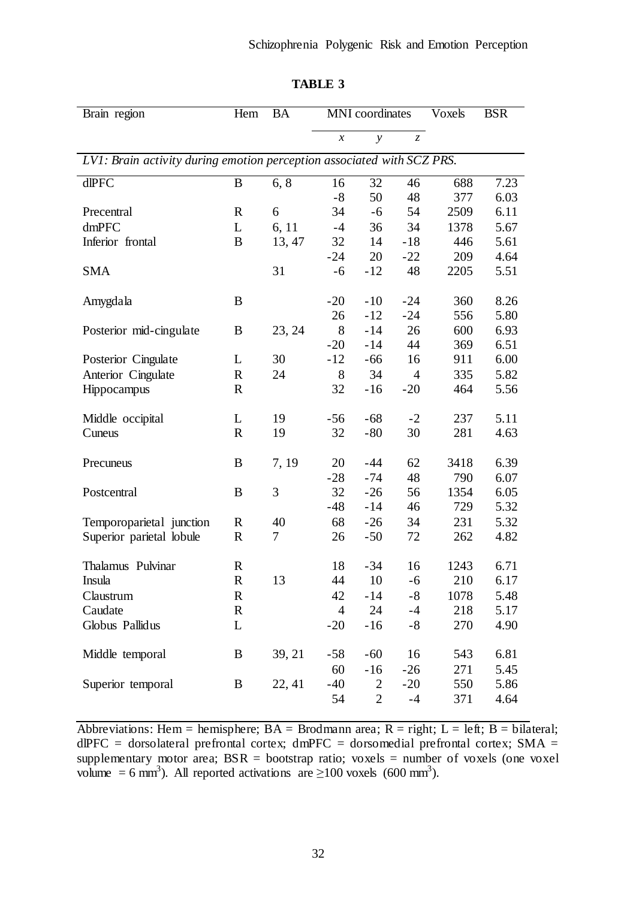# Schizophrenia Polygenic Risk and Emotion Perception

| Brain region                                                           | Hem         | <b>BA</b> | <b>MNI</b> coordinates |                | <b>Voxels</b>  | <b>BSR</b> |      |
|------------------------------------------------------------------------|-------------|-----------|------------------------|----------------|----------------|------------|------|
|                                                                        |             |           | $\boldsymbol{\chi}$    | $\mathbf{y}$   | $\mathcal{Z}$  |            |      |
| LV1: Brain activity during emotion perception associated with SCZ PRS. |             |           |                        |                |                |            |      |
| dIPFC                                                                  | B           | 6, 8      | 16                     | 32             | 46             | 688        | 7.23 |
|                                                                        |             |           | $-8$                   | 50             | 48             | 377        | 6.03 |
| Precentral                                                             | $\mathbf R$ | 6         | 34                     | $-6$           | 54             | 2509       | 6.11 |
| dmPFC                                                                  | L           | 6, 11     | $-4$                   | 36             | 34             | 1378       | 5.67 |
| Inferior frontal                                                       | B           | 13, 47    | 32                     | 14             | $-18$          | 446        | 5.61 |
|                                                                        |             |           | $-24$                  | 20             | $-22$          | 209        | 4.64 |
| SMA                                                                    |             | 31        | -6                     | $-12$          | 48             | 2205       | 5.51 |
| Amygdala                                                               | $\bf{B}$    |           | $-20$                  | $-10$          | $-24$          | 360        | 8.26 |
|                                                                        |             |           | 26                     | $-12$          | $-24$          | 556        | 5.80 |
| Posterior mid-cingulate                                                | B           | 23, 24    | 8                      | $-14$          | 26             | 600        | 6.93 |
|                                                                        |             |           | $-20$                  | $-14$          | 44             | 369        | 6.51 |
| Posterior Cingulate                                                    | L           | 30        | $-12$                  | $-66$          | 16             | 911        | 6.00 |
| Anterior Cingulate                                                     | $\mathbf R$ | 24        | 8                      | 34             | $\overline{4}$ | 335        | 5.82 |
| Hippocampus                                                            | $\mathbf R$ |           | 32                     | $-16$          | $-20$          | 464        | 5.56 |
| Middle occipital                                                       | L           | 19        | $-56$                  | $-68$          | $-2$           | 237        | 5.11 |
| Cuneus                                                                 | $\mathbf R$ | 19        | 32                     | $-80$          | 30             | 281        | 4.63 |
| Precuneus                                                              | B           | 7, 19     | 20                     | $-44$          | 62             | 3418       | 6.39 |
|                                                                        |             |           | $-28$                  | $-74$          | 48             | 790        | 6.07 |
| Postcentral                                                            | B           | 3         | 32                     | $-26$          | 56             | 1354       | 6.05 |
|                                                                        |             |           | $-48$                  | $-14$          | 46             | 729        | 5.32 |
| Temporoparietal junction                                               | $\mathbf R$ | 40        | 68                     | $-26$          | 34             | 231        | 5.32 |
| Superior parietal lobule                                               | $\mathbf R$ | $\tau$    | 26                     | $-50$          | 72             | 262        | 4.82 |
| Thalamus Pulvinar                                                      | $\mathbf R$ |           | 18                     | $-34$          | 16             | 1243       | 6.71 |
| Insula                                                                 | $\mathbf R$ | 13        | 44                     | 10             | -6             | 210        | 6.17 |
| Claustrum                                                              | R           |           | 42                     | $-14$          | $-8$           | 1078       | 5.48 |
| Caudate                                                                | $\mathbf R$ |           | $\overline{4}$         | 24             | $-4$           | 218        | 5.17 |
| Globus Pallidus                                                        | L           |           | $-20$                  | $-16$          | $-8$           | 270        | 4.90 |
| Middle temporal                                                        | B           | 39, 21    | $-58$                  | $-60$          | 16             | 543        | 6.81 |
|                                                                        |             |           | 60                     | $-16$          | $-26$          | 271        | 5.45 |
| Superior temporal                                                      | B           | 22, 41    | $-40$                  | 2              | $-20$          | 550        | 5.86 |
|                                                                        |             |           | 54                     | $\overline{2}$ | $-4$           | 371        | 4.64 |

| TABLE |  |
|-------|--|
|-------|--|

Abbreviations: Hem = hemisphere;  $BA = Brodmann area$ ;  $R = right$ ;  $L = left$ ;  $B = bilateral$ ; dlPFC = dorsolateral prefrontal cortex; dmPFC = dorsomedial prefrontal cortex; SMA = supplementary motor area;  $BSR =$  bootstrap ratio; voxels = number of voxels (one voxel volume = 6 mm<sup>3</sup>). All reported activations are  $\geq$ 100 voxels (600 mm<sup>3</sup>).